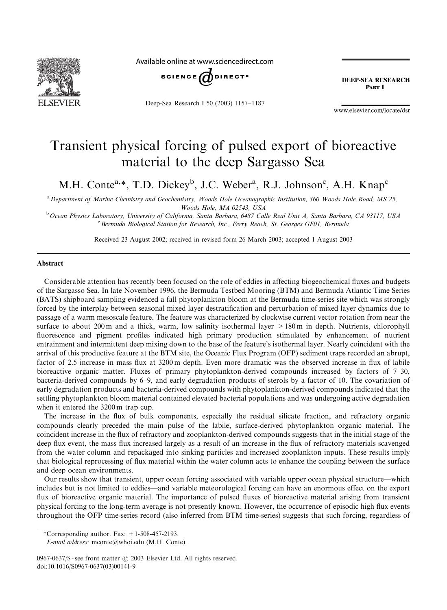

Available online at www.sciencedirect.com



Deep-Sea Research I 50 (2003) 1157–1187

**DEEP-SEA RESEARCH** PAPT I

www.elsevier.com/locate/dsr

# Transient physical forcing of pulsed export of bioreactive material to the deep Sargasso Sea

M.H. Conte<sup>a,\*</sup>, T.D. Dickey<sup>b</sup>, J.C. Weber<sup>a</sup>, R.J. Johnson<sup>c</sup>, A.H. Knap<sup>c</sup>

<sup>a</sup> Department of Marine Chemistry and Geochemistry, Woods Hole Oceanographic Institution, 360 Woods Hole Road, MS 25, Woods Hole, MA 02543, USA

<sup>b</sup> Ocean Physics Laboratory, University of California, Santa Barbara, 6487 Calle Real Unit A, Santa Barbara, CA 93117, USA <sup>c</sup> Bermuda Biological Station for Research, Inc., Ferry Reach, St. Georges GE01, Bermuda

Received 23 August 2002; received in revised form 26 March 2003; accepted 1 August 2003

#### Abstract

Considerable attention has recently been focused on the role of eddies in affecting biogeochemical fluxes and budgets of the Sargasso Sea. In late November 1996, the Bermuda Testbed Mooring (BTM) and Bermuda Atlantic Time Series (BATS) shipboard sampling evidenced a fall phytoplankton bloom at the Bermuda time-series site which was strongly forced by the interplay between seasonal mixed layer destratification and perturbation of mixed layer dynamics due to passage of a warm mesoscale feature. The feature was characterized by clockwise current vector rotation from near the surface to about 200 m and a thick, warm, low salinity isothermal layer  $>180$  m in depth. Nutrients, chlorophyll fluorescence and pigment profiles indicated high primary production stimulated by enhancement of nutrient entrainment and intermittent deep mixing down to the base of the feature's isothermal layer. Nearly coincident with the arrival of this productive feature at the BTM site, the Oceanic Flux Program (OFP) sediment traps recorded an abrupt, factor of 2.5 increase in mass flux at 3200 m depth. Even more dramatic was the observed increase in flux of labile bioreactive organic matter. Fluxes of primary phytoplankton-derived compounds increased by factors of 7–30, bacteria-derived compounds by 6–9, and early degradation products of sterols by a factor of 10. The covariation of early degradation products and bacteria-derived compounds with phytoplankton-derived compounds indicated that the settling phytoplankton bloom material contained elevated bacterial populations and was undergoing active degradation when it entered the 3200 m trap cup.

The increase in the flux of bulk components, especially the residual silicate fraction, and refractory organic compounds clearly preceded the main pulse of the labile, surface-derived phytoplankton organic material. The coincident increase in the flux of refractory and zooplankton-derived compounds suggests that in the initial stage of the deep flux event, the mass flux increased largely as a result of an increase in the flux of refractory materials scavenged from the water column and repackaged into sinking particles and increased zooplankton inputs. These results imply that biological reprocessing of flux material within the water column acts to enhance the coupling between the surface and deep ocean environments.

Our results show that transient, upper ocean forcing associated with variable upper ocean physical structure—which includes but is not limited to eddies—and variable meteorological forcing can have an enormous effect on the export flux of bioreactive organic material. The importance of pulsed fluxes of bioreactive material arising from transient physical forcing to the long-term average is not presently known. However, the occurrence of episodic high flux events throughout the OFP time-series record (also inferred from BTM time-series) suggests that such forcing, regardless of

\*Corresponding author. Fax: +1-508-457-2193.

E-mail address: mconte@whoi.edu(M.H. Conte).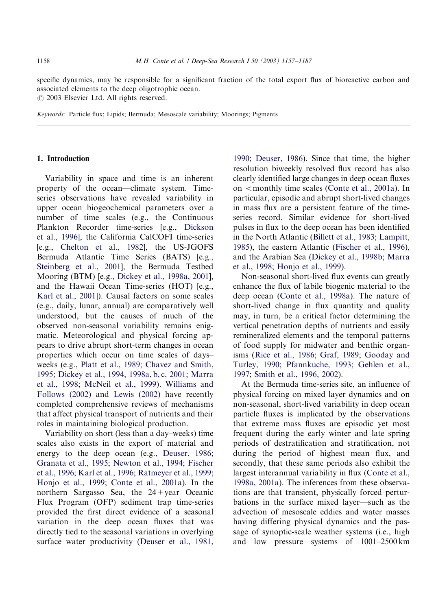specific dynamics, may be responsible for a significant fraction of the total export flux of bioreactive carbon and associated elements to the deep oligotrophic ocean.  $\odot$  2003 Elsevier Ltd. All rights reserved.

Keywords: Particle flux; Lipids; Bermuda; Mesoscale variability; Moorings; Pigments

#### 1. Introduction

Variability in space and time is an inherent property of the ocean—climate system. Timeseries observations have revealed variability in upper ocean biogeochemical parameters over a number of time scales (e.g., the Continuous Plankton Recorder time-series [e.g., [Dickson](#page-27-0) [et al., 1996\]](#page-27-0), the California CalCOFI time-series [e.g., [Chelton et al., 1982\]](#page-26-0), the US-JGOFS Bermuda Atlantic Time Series (BATS) [e.g., [Steinberg et al., 2001](#page-29-0)], the Bermuda Testbed Mooring (BTM) [e.g., [Dickey et al., 1998a, 2001\]](#page-26-0), and the Hawaii Ocean Time-series (HOT) [e.g., [Karl et al., 2001\]](#page-28-0)). Causal factors on some scales (e.g., daily, lunar, annual) are comparatively well understood, but the causes of much of the observed non-seasonal variability remains enigmatic. Meteorological and physical forcing appears to drive abrupt short-term changes in ocean properties which occur on time scales of days– weeks (e.g., [Platt et al., 1989;](#page-29-0) [Chavez and Smith,](#page-26-0) [1995;](#page-26-0) [Dickey et al., 1994, 1998a, b, c, 2001;](#page-26-0) [Marra](#page-28-0) [et al., 1998](#page-28-0); [McNeil et al., 1999](#page-28-0)). [Williams and](#page-30-0) [Follows \(2002\)](#page-30-0) and [Lewis \(2002\)](#page-28-0) have recently completed comprehensive reviews of mechanisms that affect physical transport of nutrients and their roles in maintaining biological production.

Variability on short (less than a day–weeks) time scales also exists in the export of material and energy to the deep ocean (e.g., [Deuser, 1986](#page-26-0); [Granata et al., 1995;](#page-27-0) [Newton et al., 1994;](#page-28-0) [Fischer](#page-27-0) [et al., 1996](#page-27-0); [Karl et al., 1996;](#page-27-0) [Ratmeyer et al., 1999](#page-29-0); [Honjo et al., 1999;](#page-27-0) [Conte et al., 2001a\)](#page-26-0). In the northern Sargasso Sea, the 24+year Oceanic Flux Program (OFP) sediment trap time-series provided the first direct evidence of a seasonal variation in the deep ocean fluxes that was directly tied to the seasonal variations in overlying surface water productivity [\(Deuser et al., 1981,](#page-26-0)

[1990;](#page-26-0) [Deuser, 1986\)](#page-26-0). Since that time, the higher resolution biweekly resolved flux record has also clearly identified large changes in deep ocean fluxes on  $\le$  monthly time scales [\(Conte et al., 2001a\)](#page-26-0). In particular, episodic and abrupt short-lived changes in mass flux are a persistent feature of the timeseries record. Similar evidence for short-lived pulses in flux to the deep ocean has been identified in the North Atlantic [\(Billett et al., 1983](#page-25-0); [Lampitt,](#page-28-0) [1985\)](#page-28-0), the eastern Atlantic [\(Fischer et al., 1996](#page-27-0)), and the Arabian Sea ([Dickey et al., 1998b;](#page-26-0) [Marra](#page-28-0) [et al., 1998](#page-28-0); [Honjo et al., 1999\)](#page-27-0).

Non-seasonal short-lived flux events can greatly enhance the flux of labile biogenic material to the deep ocean ([Conte et al., 1998a](#page-26-0)). The nature of short-lived change in flux quantity and quality may, in turn, be a critical factor determining the vertical penetration depths of nutrients and easily remineralized elements and the temporal patterns of food supply for midwater and benthic organisms [\(Rice et al., 1986;](#page-29-0) [Graf, 1989](#page-27-0); [Gooday and](#page-27-0) [Turley, 1990](#page-27-0); [Pfannkuche, 1993;](#page-29-0) [Gehlen et al.,](#page-27-0) [1997;](#page-27-0) [Smith et al., 1996, 2002\)](#page-29-0).

At the Bermuda time-series site, an influence of physical forcing on mixed layer dynamics and on non-seasonal, short-lived variability in deep ocean particle fluxes is implicated by the observations that extreme mass fluxes are episodic yet most frequent during the early winter and late spring periods of destratification and stratification, not during the period of highest mean flux, and secondly, that these same periods also exhibit the largest interannual variability in flux ([Conte et al.,](#page-26-0) [1998a, 2001a\)](#page-26-0). The inferences from these observations are that transient, physically forced perturbations in the surface mixed layer—such as the advection of mesoscale eddies and water masses having differing physical dynamics and the passage of synoptic-scale weather systems (i.e., high and low pressure systems of 1001–2500 km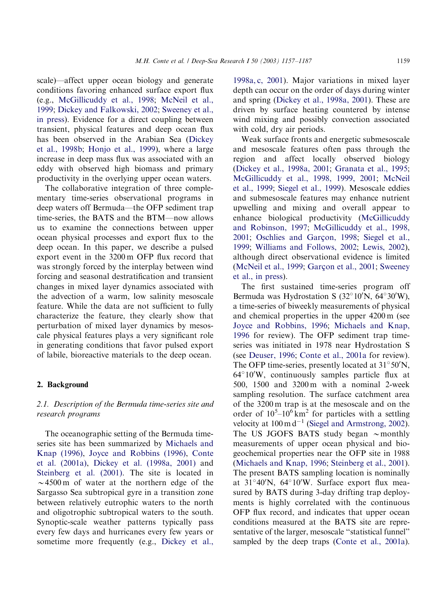scale)—affect upper ocean biology and generate conditions favoring enhanced surface export flux (e.g., [McGillicuddy et al., 1998;](#page-28-0) [McNeil et al.,](#page-28-0) [1999;](#page-28-0) [Dickey and Falkowski, 2002;](#page-26-0) [Sweeney et al.,](#page-29-0) [in press](#page-29-0)). Evidence for a direct coupling between transient, physical features and deep ocean flux has been observed in the Arabian Sea ([Dickey](#page-26-0) [et al., 1998b](#page-26-0); [Honjo et al., 1999](#page-27-0)), where a large increase in deep mass flux was associated with an eddy with observed high biomass and primary productivity in the overlying upper ocean waters.

The collaborative integration of three complementary time-series observational programs in deep waters off Bermuda—the OFP sediment trap time-series, the BATS and the BTM—now allows us to examine the connections between upper ocean physical processes and export flux to the deep ocean. In this paper, we describe a pulsed export event in the 3200 m OFP flux record that was strongly forced by the interplay between wind forcing and seasonal destratification and transient changes in mixed layer dynamics associated with the advection of a warm, low salinity mesoscale feature. While the data are not sufficient to fully characterize the feature, they clearly show that perturbation of mixed layer dynamics by mesoscale physical features plays a very significant role in generating conditions that favor pulsed export of labile, bioreactive materials to the deep ocean.

### 2. Background

# 2.1. Description of the Bermuda time-series site and research programs

The oceanographic setting of the Bermuda timeseries site has been summarized by [Michaels and](#page-28-0) [Knap \(1996\),](#page-28-0) [Joyce and Robbins \(1996\)](#page-27-0), [Conte](#page-26-0) [et al. \(2001a\),](#page-26-0) [Dickey et al. \(1998a, 2001\)](#page-26-0) and [Steinberg et al. \(2001\).](#page-29-0) The site is located in  $\sim$  4500 m of water at the northern edge of the Sargasso Sea subtropical gyre in a transition zone between relatively eutrophic waters to the north and oligotrophic subtropical waters to the south. Synoptic-scale weather patterns typically pass every few days and hurricanes every few years or sometime more frequently (e.g., [Dickey et al.,](#page-26-0)

[1998a, c, 2001](#page-26-0)). Major variations in mixed layer depth can occur on the order of days during winter and spring [\(Dickey et al., 1998a, 2001](#page-26-0)). These are driven by surface heating countered by intense wind mixing and possibly convection associated with cold, dry air periods.

Weak surface fronts and energetic submesoscale and mesoscale features often pass through the region and affect locally observed biology [\(Dickey et al., 1998a, 2001](#page-26-0); [Granata et al., 1995](#page-27-0); [McGillicuddy et al., 1998, 1999, 2001](#page-28-0); [McNeil](#page-28-0) [et al., 1999](#page-28-0); [Siegel et al., 1999](#page-29-0)). Mesoscale eddies and submesoscale features may enhance nutrient upwelling and mixing and overall appear to enhance biological productivity ([McGillicuddy](#page-28-0) [and Robinson, 1997](#page-28-0); [McGillicuddy et al., 1998,](#page-28-0) [2001;](#page-28-0) [Oschlies and Gar](#page-28-0)çon, 1998; [Siegel et al.,](#page-29-0) [1999;](#page-29-0) [Williams and Follows, 2002](#page-30-0); [Lewis, 2002](#page-28-0)), although direct observational evidence is limited [\(McNeil et al., 1999](#page-28-0); Garç[on et al., 2001](#page-27-0); [Sweeney](#page-29-0) [et al., in press](#page-29-0)).

The first sustained time-series program off Bermuda was Hydrostation S  $(32^{\circ}10^{\prime}N, 64^{\circ}30^{\prime}W)$ , a time-series of biweekly measurements of physical and chemical properties in the upper 4200 m (see [Joyce and Robbins, 1996;](#page-27-0) [Michaels and Knap,](#page-28-0) [1996](#page-28-0) for review). The OFP sediment trap timeseries was initiated in 1978 near Hydrostation S (see [Deuser, 1996](#page-26-0); [Conte et al., 2001a](#page-26-0) for review). The OFP time-series, presently located at  $31^{\circ}50'$ N,  $64^{\circ}10'$ W, continuously samples particle flux at 500, 1500 and 3200 m with a nominal 2-week sampling resolution. The surface catchment area of the 3200 m trap is at the mesoscale and on the order of  $10^5 - 10^6$  km<sup>2</sup> for particles with a settling velocity at  $100 \text{ m d}^{-1}$  ([Siegel and Armstrong, 2002](#page-29-0)). The US JGOFS BATS study began  $\sim$  monthly measurements of upper ocean physical and biogeochemical properties near the OFP site in 1988 [\(Michaels and Knap, 1996;](#page-28-0) [Steinberg et al., 2001](#page-29-0)). The present BATS sampling location is nominally at  $31^{\circ}40'$ N,  $64^{\circ}10'$ W. Surface export flux measured by BATS during 3-day drifting trap deployments is highly correlated with the continuous OFP flux record, and indicates that upper ocean conditions measured at the BATS site are representative of the larger, mesoscale ''statistical funnel'' sampled by the deep traps [\(Conte et al., 2001a](#page-26-0)).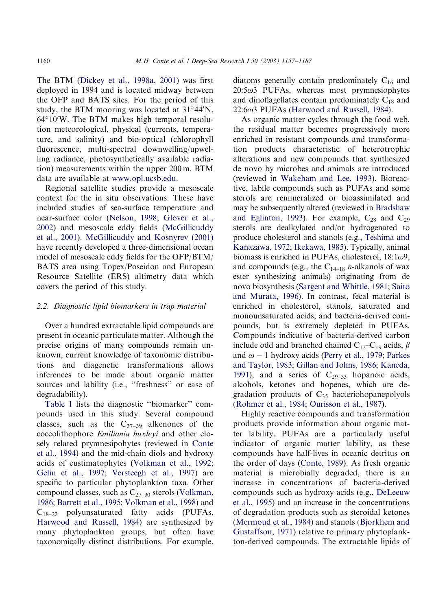The BTM [\(Dickey et al., 1998a, 2001\)](#page-26-0) was first deployed in 1994 and is located midway between the OFP and BATS sites. For the period of this study, the BTM mooring was located at  $31^{\circ}44'$ N,  $64^{\circ}10'$ W. The BTM makes high temporal resolution meteorological, physical (currents, temperature, and salinity) and bio-optical (chlorophyll fluorescence, multi-spectral downwelling/upwelling radiance, photosynthetically available radiation) measurements within the upper 200 m. BTM data are available at [www.opl.ucsb.edu](http://www.opl.ucsb.edu).

Regional satellite studies provide a mesoscale context for the in situ observations. These have included studies of sea-surface temperature and near-surface color ([Nelson, 1998](#page-28-0); [Glover et al.,](#page-27-0) [2002\)](#page-27-0) and mesoscale eddy fields ([McGillicuddy](#page-28-0) [et al., 2001](#page-28-0)). [McGillicuddy and Kosnyrev \(2001\)](#page-28-0) have recently developed a three-dimensional ocean model of mesoscale eddy fields for the OFP/BTM/ BATS area using Topex/Poseidon and European Resource Satellite (ERS) altimetry data which covers the period of this study.

#### 2.2. Diagnostic lipid biomarkers in trap material

Over a hundred extractable lipid compounds are present in oceanic particulate matter. Although the precise origins of many compounds remain unknown, current knowledge of taxonomic distributions and diagenetic transformations allows inferences to be made about organic matter sources and lability (i.e., "freshness" or ease of degradability).

[Table 1](#page-4-0) lists the diagnostic ''biomarker'' compounds used in this study. Several compound classes, such as the  $C_{37-39}$  alkenones of the coccolithophore Emiliania huxleyi and other closely related prymnesipohytes (reviewed in [Conte](#page-26-0) [et al., 1994](#page-26-0)) and the mid-chain diols and hydroxy acids of eustimatophytes [\(Volkman et al., 1992](#page-29-0); [Gelin et al., 1997;](#page-27-0) [Versteegh et al., 1997](#page-29-0)) are specific to particular phytoplankton taxa. Other compound classes, such as  $C_{27-30}$  sterols [\(Volkman,](#page-29-0) [1986](#page-29-0); [Barrett et al., 1995;](#page-25-0) [Volkman et al., 1998](#page-29-0)) and  $C_{18-22}$  polyunsaturated fatty acids (PUFAs, [Harwood and Russell, 1984\)](#page-27-0) are synthesized by many phytoplankton groups, but often have taxonomically distinct distributions. For example, diatoms generally contain predominately  $C_{16}$  and  $20:5\omega$ 3 PUFAs, whereas most prymnesiophytes and dinoflagellates contain predominately  $C_{18}$  and  $22:6\omega$ 3 PUFAs [\(Harwood and Russell, 1984\)](#page-27-0).

As organic matter cycles through the food web, the residual matter becomes progressively more enriched in resistant compounds and transformation products characteristic of heterotrophic alterations and new compounds that synthesized de novo by microbes and animals are introduced (reviewed in [Wakeham and Lee, 1993\)](#page-30-0). Bioreactive, labile compounds such as PUFAs and some sterols are remineralized or bioassimilated and may be subsequently altered (reviewed in [Bradshaw](#page-26-0) [and Eglinton, 1993\)](#page-26-0). For example,  $C_{28}$  and  $C_{29}$ sterols are dealkylated and/or hydrogenated to produce cholesterol and stanols (e.g., [Teshima and](#page-29-0) [Kanazawa, 1972](#page-29-0); [Ikekawa, 1985](#page-27-0)). Typically, animal biomass is enriched in PUFAs, cholesterol,  $18:1\omega$ 9, and compounds (e.g., the  $C_{14-18}$  *n*-alkanols of wax ester synthesizing animals) originating from de novo biosynthesis ([Sargent and Whittle, 1981](#page-29-0); [Saito](#page-29-0) [and Murata, 1996](#page-29-0)). In contrast, fecal material is enriched in cholesterol, stanols, saturated and monounsaturated acids, and bacteria-derived compounds, but is extremely depleted in PUFAs. Compounds indicative of bacteria-derived carbon include odd and branched chained  $C_{12}-C_{19}$  acids,  $\beta$ and  $\omega$  – 1 hydroxy acids [\(Perry et al., 1979;](#page-28-0) [Parkes](#page-28-0) [and Taylor, 1983;](#page-28-0) [Gillan and Johns, 1986;](#page-27-0) [Kaneda,](#page-27-0) [1991](#page-27-0)), and a series of  $C_{29-33}$  hopanoic acids, alcohols, ketones and hopenes, which are degradation products of  $C_{35}$  bacteriohopanepolyols [\(Rohmer et al., 1984](#page-29-0); [Ourisson et al., 1987\)](#page-28-0).

Highly reactive compounds and transformation products provide information about organic matter lability. PUFAs are a particularly useful indicator of organic matter lability, as these compounds have half-lives in oceanic detritus on the order of days ([Conte, 1989](#page-26-0)). As fresh organic material is microbially degraded, there is an increase in concentrations of bacteria-derived compounds such as hydroxy acids (e.g., [DeLeeuw](#page-26-0) [et al., 1995](#page-26-0)) and an increase in the concentrations of degradation products such as steroidal ketones [\(Mermoud et al., 1984](#page-28-0)) and stanols [\(Bjorkhem and](#page-25-0) [Gustaffson, 1971](#page-25-0)) relative to primary phytoplankton-derived compounds. The extractable lipids of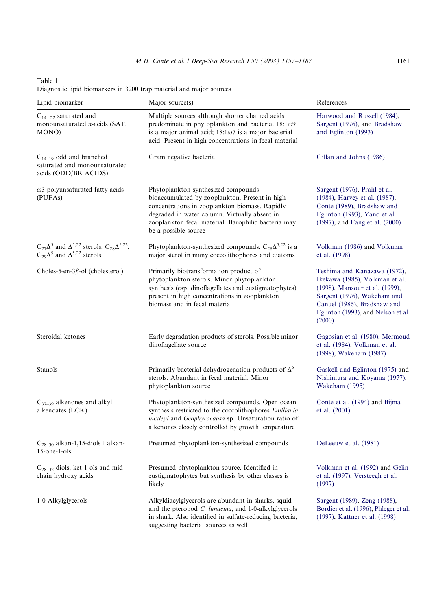<span id="page-4-0"></span>Table 1 Diagnostic lipid biomarkers in 3200 trap material and major sources

| Lipid biomarker                                                                                                       | Major source(s)                                                                                                                                                                                                                                                         | References                                                                                                                                                                                                     |
|-----------------------------------------------------------------------------------------------------------------------|-------------------------------------------------------------------------------------------------------------------------------------------------------------------------------------------------------------------------------------------------------------------------|----------------------------------------------------------------------------------------------------------------------------------------------------------------------------------------------------------------|
| $C_{14-22}$ saturated and<br>monounsaturated <i>n</i> -acids (SAT,<br>MONO)                                           | Multiple sources although shorter chained acids<br>predominate in phytoplankton and bacteria. $18:1\omega$ 9<br>is a major animal acid; $18:1\omega$ 7 is a major bacterial<br>acid. Present in high concentrations in fecal material                                   | Harwood and Russell (1984),<br>Sargent (1976), and Bradshaw<br>and Eglinton (1993)                                                                                                                             |
| $C_{14-19}$ odd and branched<br>saturated and monounsaturated<br>acids (ODD/BR ACIDS)                                 | Gram negative bacteria                                                                                                                                                                                                                                                  | Gillan and Johns (1986)                                                                                                                                                                                        |
| $\omega$ 3 polyunsaturated fatty acids<br>(PUFAs)                                                                     | Phytoplankton-synthesized compounds<br>bioaccumulated by zooplankton. Present in high<br>concentrations in zooplankton biomass. Rapidly<br>degraded in water column. Virtually absent in<br>zooplankton fecal material. Barophilic bacteria may<br>be a possible source | Sargent (1976), Prahl et al.<br>(1984), Harvey et al. (1987),<br>Conte (1989), Bradshaw and<br>Eglinton (1993), Yano et al.<br>(1997), and Fang et al. (2000)                                                  |
| $C_{27}\Delta^5$ and $\Delta^{5,22}$ sterols, $C_{28}\Delta^{5,22}$ ,<br>$C_{29}\Delta^5$ and $\Delta^{5,22}$ sterols | Phytoplankton-synthesized compounds. $C_{28}\Delta^{5,22}$ is a<br>major sterol in many coccolithophores and diatoms                                                                                                                                                    | Volkman (1986) and Volkman<br>et al. (1998)                                                                                                                                                                    |
| Choles-5-en- $3\beta$ -ol (cholesterol)                                                                               | Primarily biotransformation product of<br>phytoplankton sterols. Minor phytoplankton<br>synthesis (esp. dinoflagellates and eustigmatophytes)<br>present in high concentrations in zooplankton<br>biomass and in fecal material                                         | Teshima and Kanazawa (1972),<br>Ikekawa (1985), Volkman et al.<br>(1998), Mansour et al. (1999),<br>Sargent (1976), Wakeham and<br>Canuel (1986), Bradshaw and<br>Eglinton (1993), and Nelson et al.<br>(2000) |
| Steroidal ketones                                                                                                     | Early degradation products of sterols. Possible minor<br>dinoflagellate source                                                                                                                                                                                          | Gagosian et al. (1980), Mermoud<br>et al. (1984), Volkman et al.<br>(1998), Wakeham (1987)                                                                                                                     |
| Stanols                                                                                                               | Primarily bacterial dehydrogenation products of $\Delta^5$<br>sterols. Abundant in fecal material. Minor<br>phytoplankton source                                                                                                                                        | Gaskell and Eglinton (1975) and<br>Nishimura and Koyama (1977),<br>Wakeham (1995)                                                                                                                              |
| $C_{37-39}$ alkenones and alkyl<br>alkenoates (LCK)                                                                   | Phytoplankton-synthesized compounds. Open ocean<br>synthesis restricted to the coccolithophores Emiliania<br>huxleyi and Geophyrocapsa sp. Unsaturation ratio of<br>alkenones closely controlled by growth temperature                                                  | Conte et al. (1994) and Bijma<br>et al. $(2001)$                                                                                                                                                               |
| $C_{28-30}$ alkan-1,15-diols + alkan-<br>$15$ -one- $1$ -ols                                                          | Presumed phytoplankton-synthesized compounds                                                                                                                                                                                                                            | DeLeeuw et al. (1981)                                                                                                                                                                                          |
| $C_{28-32}$ diols, ket-1-ols and mid-<br>chain hydroxy acids                                                          | Presumed phytoplankton source. Identified in<br>eustigmatophytes but synthesis by other classes is<br>likely                                                                                                                                                            | Volkman et al. (1992) and Gelin<br>et al. (1997), Versteegh et al.<br>(1997)                                                                                                                                   |
| 1-0-Alkylglycerols                                                                                                    | Alkyldiacylglycerols are abundant in sharks, squid<br>and the pteropod C. limacina, and 1-0-alkylglycerols<br>in shark. Also identified in sulfate-reducing bacteria,<br>suggesting bacterial sources as well                                                           | Sargent (1989), Zeng (1988),<br>Bordier et al. (1996), Phleger et al.<br>(1997), Kattner et al. (1998)                                                                                                         |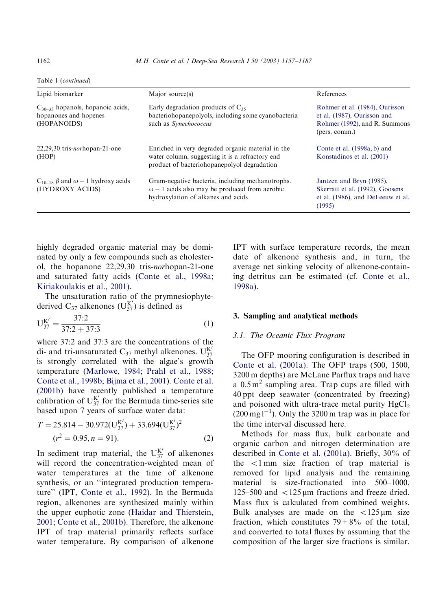Table 1 (continued)

| Lipid biomarker                                                               | Major source(s)                                                                                                                                     | References                                                                                                      |
|-------------------------------------------------------------------------------|-----------------------------------------------------------------------------------------------------------------------------------------------------|-----------------------------------------------------------------------------------------------------------------|
| $C_{30-33}$ hopanols, hopanoic acids,<br>hopanones and hopenes<br>(HOPANOIDS) | Early degradation products of $C_{35}$<br>bacteriohopanepolyols, including some cyanobacteria<br>such as Synechococcus                              | Rohmer et al. (1984), Ourisson<br>et al. (1987). Ourisson and<br>Rohmer (1992), and R. Summons<br>(pers. comm.) |
| $22,29,30$ tris- <i>nor</i> hopan-21-one<br>(HOP)                             | Enriched in very degraded organic material in the<br>water column, suggesting it is a refractory end<br>product of bacteriohopanepolyol degradation | Conte et al. (1998a, b) and<br>Konstadinos et al. (2001)                                                        |
| $C_{10-18}$ $\beta$ and $\omega - 1$ hydroxy acids<br>(HYDROXY ACIDS)         | Gram-negative bacteria, including methanotrophs.<br>$\omega$ – 1 acids also may be produced from aerobic<br>hydroxylation of alkanes and acids      | Jantzen and Bryn (1985),<br>Skerratt et al. (1992), Goosens<br>et al. (1986), and DeLeeuw et al.<br>(1995)      |

highly degraded organic material may be dominated by only a few compounds such as cholesterol, the hopanone 22,29,30 tris-norhopan-21-one and saturated fatty acids [\(Conte et al., 1998a](#page-26-0); [Kiriakoulakis et al., 2001](#page-28-0)).

The unsaturation ratio of the prymnesiophytederived C<sub>37</sub> alkenones ( $U_{37}^{K'}$ ) is defined as

$$
U_{37}^{K'} = \frac{37.2}{37.2 + 37.3}
$$
 (1)

where 37:2 and 37:3 are the concentrations of the di- and tri-unsaturated  $C_{37}$  methyl alkenones.  $U_{37}^{K'}$ is strongly correlated with the algae's growth temperature ([Marlowe, 1984;](#page-28-0) [Prahl et al., 1988](#page-29-0); [Conte et al., 1998b](#page-26-0); [Bijma et al., 2001\)](#page-25-0). [Conte et al.](#page-26-0) [\(2001b\)](#page-26-0) have recently published a temperature calibration of  $U_{37}^{K'}$  for the Bermuda time-series site based upon 7 years of surface water data:

$$
T = 25.814 - 30.972(\text{U}_{37}^{\text{K}'}) + 33.694(\text{U}_{37}^{\text{K}'})^2
$$
  
( $r^2 = 0.95, n = 91$ ). (2)

In sediment trap material, the  $U_{37}^{K'}$  of alkenones will record the concentration-weighted mean of water temperatures at the time of alkenone synthesis, or an ''integrated production temperature'' (IPT, [Conte et al., 1992\)](#page-26-0). In the Bermuda region, alkenones are synthesized mainly within the upper euphotic zone ([Haidar and Thierstein,](#page-27-0) [2001;](#page-27-0) [Conte et al., 2001b](#page-26-0)). Therefore, the alkenone IPT of trap material primarily reflects surface water temperature. By comparison of alkenone IPT with surface temperature records, the mean date of alkenone synthesis and, in turn, the average net sinking velocity of alkenone-containing detritus can be estimated (cf. [Conte et al.,](#page-26-0) [1998a\)](#page-26-0).

#### 3. Sampling and analytical methods

#### 3.1. The Oceanic Flux Program

The OFP mooring configuration is described in [Conte et al. \(2001a\).](#page-26-0) The OFP traps (500, 1500, 3200 m depths) are McLane Parflux traps and have a  $0.5 \text{ m}^2$  sampling area. Trap cups are filled with 40 ppt deep seawater (concentrated by freezing) and poisoned with ultra-trace metal purity  $HgCl<sub>2</sub>$  $(200 \,\text{mg1}^{-1})$ . Only the 3200 m trap was in place for the time interval discussed here.

Methods for mass flux, bulk carbonate and organic carbon and nitrogen determination are described in [Conte et al. \(2001a\).](#page-26-0) Briefly, 30% of the  $\lt$ 1 mm size fraction of trap material is removed for lipid analysis and the remaining material is size-fractionated into 500–1000, 125–500 and  $\langle$ 125  $\mu$ m fractions and freeze dried. Mass flux is calculated from combined weights. Bulk analyses are made on the  $\lt$ 125  $\mu$ m size fraction, which constitutes  $79 + 8\%$  of the total, and converted to total fluxes by assuming that the composition of the larger size fractions is similar.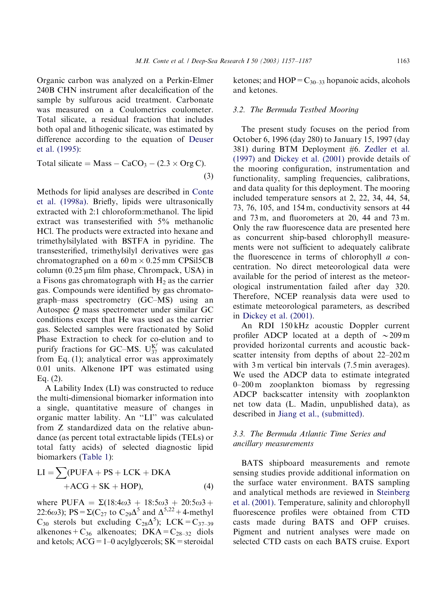Organic carbon was analyzed on a Perkin-Elmer 240B CHN instrument after decalcification of the sample by sulfurous acid treatment. Carbonate was measured on a Coulometrics coulometer. Total silicate, a residual fraction that includes both opal and lithogenic silicate, was estimated by difference according to the equation of [Deuser](#page-26-0) [et al. \(1995\)](#page-26-0):

Total silicate ¼ Mass CaCO3 ð2:3 Org CÞ: ð3Þ

Methods for lipid analyses are described in [Conte](#page-26-0) [et al. \(1998a\)](#page-26-0). Briefly, lipids were ultrasonically extracted with 2:1 chloroform:methanol. The lipid extract was transesterified with 5% methanolic HCl. The products were extracted into hexane and trimethylsilylated with BSTFA in pyridine. The transesterified, trimethylsilyl derivatives were gas chromatographed on a  $60 \text{ m} \times 0.25 \text{ mm}$  CPSil5CB column  $(0.25 \mu m)$  film phase, Chrompack, USA) in a Fisons gas chromatograph with  $H<sub>2</sub>$  as the carrier gas. Compounds were identified by gas chromatograph–mass spectrometry (GC–MS) using an Autospec Q mass spectrometer under similar GC conditions except that He was used as the carrier gas. Selected samples were fractionated by Solid Phase Extraction to check for co-elution and to purify fractions for GC–MS.  $U_{37}^{K'}$  was calculated from Eq. (1); analytical error was approximately 0.01 units. Alkenone IPT was estimated using Eq. (2).

A Lability Index (LI) was constructed to reduce the multi-dimensional biomarker information into a single, quantitative measure of changes in organic matter lability. An ''LI'' was calculated from Z standardized data on the relative abundance (as percent total extractable lipids (TELs) or total fatty acids) of selected diagnostic lipid biomarkers ([Table 1](#page-4-0)):

$$
LI = \sum (PUFA + PS + LCK + DKA + ACG + SK + HOP),
$$
 (4)

where PUFA =  $\Sigma(18:4\omega^3 + 18:5\omega^3 + 20:5\omega^3 + 18:5\omega^2)$ 22:6 $\omega$ 3); PS =  $\Sigma(C_{27}$  to  $C_{29}\Delta^5$  and  $\Delta^{5,22}$  + 4-methyl  $C_{30}$  sterols but excluding  $C_{28}\Delta^{5}$ ); LCK =  $C_{37-39}$ alkenones +  $C_{36}$  alkenoates; DKA =  $C_{28-32}$  diols and ketols;  $ACG = 1-0$  acylglycerols;  $SK =$  steroidal ketones; and  $HOP = C_{30-33}$  hopanoic acids, alcohols and ketones.

#### 3.2. The Bermuda Testbed Mooring

The present study focuses on the period from October 6, 1996 (day 280) to January 15, 1997 (day 381) during BTM Deployment #6. [Zedler et al.](#page-30-0) [\(1997\)](#page-30-0) and [Dickey et al. \(2001\)](#page-26-0) provide details of the mooring configuration, instrumentation and functionality, sampling frequencies, calibrations, and data quality for this deployment. The mooring included temperature sensors at 2, 22, 34, 44, 54, 73, 76, 105, and 154 m, conductivity sensors at 44 and 73 m, and fluorometers at 20, 44 and 73 m. Only the raw fluorescence data are presented here as concurrent ship-based chlorophyll measurements were not sufficient to adequately calibrate the fluorescence in terms of chlorophyll  $a$  concentration. No direct meteorological data were available for the period of interest as the meteorological instrumentation failed after day 320. Therefore, NCEP reanalysis data were used to estimate meteorological parameters, as described in [Dickey et al. \(2001\)](#page-26-0).

An RDI 150 kHz acoustic Doppler current profiler ADCP located at a depth of  $\sim$  209 m provided horizontal currents and acoustic backscatter intensity from depths of about 22–202 m with 3 m vertical bin intervals (7.5 min averages). We used the ADCP data to estimate integrated 0–200 m zooplankton biomass by regressing ADCP backscatter intensity with zooplankton net tow data (L. Madin, unpublished data), as described in [Jiang et al., \(submitted\)](#page-27-0).

# 3.3. The Bermuda Atlantic Time Series and ancillary measurements

BATS shipboard measurements and remote sensing studies provide additional information on the surface water environment. BATS sampling and analytical methods are reviewed in [Steinberg](#page-29-0) [et al. \(2001\)](#page-29-0). Temperature, salinity and chlorophyll fluorescence profiles were obtained from CTD casts made during BATS and OFP cruises. Pigment and nutrient analyses were made on selected CTD casts on each BATS cruise. Export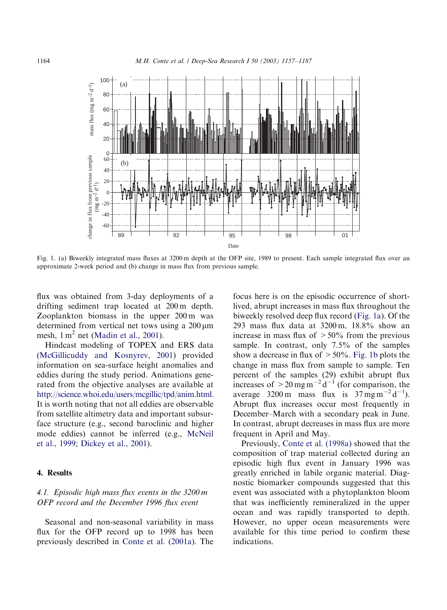<span id="page-7-0"></span>

Fig. 1. (a) Biweekly integrated mass fluxes at 3200 m depth at the OFP site, 1989 to present. Each sample integrated flux over an approximate 2-week period and (b) change in mass flux from previous sample.

flux was obtained from 3-day deployments of a drifting sediment trap located at 200 m depth. Zooplankton biomass in the upper 200 m was determined from vertical net tows using a  $200 \,\mathrm{\upmu m}$ mesh,  $1 \text{ m}^2$  net ([Madin et al., 2001\)](#page-28-0).

Hindcast modeling of TOPEX and ERS data [\(McGillicuddy and Kosnyrev, 2001\)](#page-28-0) provided information on sea-surface height anomalies and eddies during the study period. Animations generated from the objective analyses are available at [http://science.whoi.edu/users/mcgillic/tpd/anim.html.](http://science.whoi.edu/users/mcgillic/tpd/anim.html) It is worth noting that not all eddies are observable from satellite altimetry data and important subsurface structure (e.g., second baroclinic and higher mode eddies) cannot be inferred (e.g., [McNeil](#page-28-0) [et al., 1999](#page-28-0); [Dickey et al., 2001](#page-26-0)).

## 4. Results

# 4.1. Episodic high mass flux events in the 3200 m OFP record and the December 1996 flux event

Seasonal and non-seasonal variability in mass flux for the OFP record up to 1998 has been previously described in [Conte et al. \(2001a\).](#page-26-0) The

focus here is on the episodic occurrence of shortlived, abrupt increases in mass flux throughout the biweekly resolved deep flux record (Fig. 1a). Of the 293 mass flux data at 3200 m, 18.8% show an increase in mass flux of  $>50\%$  from the previous sample. In contrast, only 7.5% of the samples show a decrease in flux of  $> 50\%$ . Fig. 1b plots the change in mass flux from sample to sample. Ten percent of the samples (29) exhibit abrupt flux increases of  $>$  20 mg m<sup>-2</sup> d<sup>-1</sup> (for comparison, the average 3200 m mass flux is  $37 \text{ mg m}^{-2} \text{d}^{-1}$ ). Abrupt flux increases occur most frequently in December–March with a secondary peak in June. In contrast, abrupt decreases in mass flux are more frequent in April and May.

Previously, [Conte et al. \(1998a\)](#page-26-0) showed that the composition of trap material collected during an episodic high flux event in January 1996 was greatly enriched in labile organic material. Diagnostic biomarker compounds suggested that this event was associated with a phytoplankton bloom that was inefficiently remineralized in the upper ocean and was rapidly transported to depth. However, no upper ocean measurements were available for this time period to confirm these indications.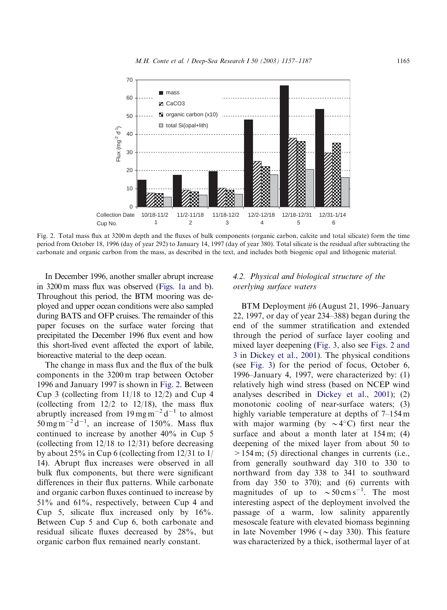<span id="page-8-0"></span>

Fig. 2. Total mass flux at 3200 m depth and the fluxes of bulk components (organic carbon, calcite and total silicate) form the time period from October 18, 1996 (day of year 292) to January 14, 1997 (day of year 380). Total silicate is the residual after subtracting the carbonate and organic carbon from the mass, as described in the text, and includes both biogenic opal and lithogenic material.

In December 1996, another smaller abrupt increase in 3200 m mass flux was observed [\(Figs. 1a and b](#page-7-0)). Throughout this period, the BTM mooring was deployed and upper ocean conditions were also sampled during BATS and OFP cruises. The remainder of this paper focuses on the surface water forcing that precipitated the December 1996 flux event and how this short-lived event affected the export of labile, bioreactive material to the deep ocean.

The change in mass flux and the flux of the bulk components in the 3200 m trap between October 1996 and January 1997 is shown in Fig. 2. Between Cup 3 (collecting from 11/18 to 12/2) and Cup 4 (collecting from  $12/2$  to  $12/18$ ), the mass flux abruptly increased from  $19 \,\text{mg}\,\text{m}^{-2}\,\text{d}^{-1}$  to almost  $50 \,\mathrm{mg\,m}^{-2}\,\mathrm{d}^{-1}$ , an increase of 150%. Mass flux continued to increase by another 40% in Cup 5 (collecting from 12/18 to 12/31) before decreasing by about 25% in Cup 6 (collecting from 12/31 to 1/ 14). Abrupt flux increases were observed in all bulk flux components, but there were significant differences in their flux patterns. While carbonate and organic carbon fluxes continued to increase by 51% and 61%, respectively, between Cup 4 and Cup 5, silicate flux increased only by 16%. Between Cup 5 and Cup 6, both carbonate and residual silicate fluxes decreased by 28%, but organic carbon flux remained nearly constant.

## 4.2. Physical and biological structure of the overlying surface waters

BTM Deployment #6 (August 21, 1996–January 22, 1997, or day of year 234–388) began during the end of the summer stratification and extended through the period of surface layer cooling and mixed layer deepening [\(Fig. 3](#page-9-0), also see Figs. 2 and 3 in [Dickey et al., 2001](#page-26-0)). The physical conditions (see [Fig. 3\)](#page-9-0) for the period of focus, October 6, 1996–January 4, 1997, were characterized by: (1) relatively high wind stress (based on NCEP wind analyses described in [Dickey et al., 2001](#page-26-0)); (2) monotonic cooling of near-surface waters; (3) highly variable temperature at depths of 7–154 m with major warming (by  $\sim$  4°C) first near the surface and about a month later at  $154 \text{ m}$ ; (4) deepening of the mixed layer from about 50 to >154 m; (5) directional changes in currents (i.e., from generally southward day 310 to 330 to northward from day 338 to 341 to southward from day 350 to 370); and (6) currents with magnitudes of up to  $\sim 50 \text{ cm s}^{-1}$ . The most interesting aspect of the deployment involved the passage of a warm, low salinity apparently mesoscale feature with elevated biomass beginning in late November 1996 ( $\sim$ day 330). This feature was characterized by a thick, isothermal layer of at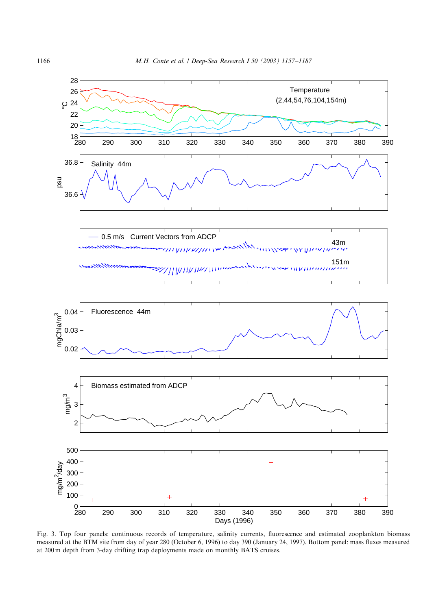<span id="page-9-0"></span>

Fig. 3. Top four panels: continuous records of temperature, salinity currents, fluorescence and estimated zooplankton biomass measured at the BTM site from day of year 280 (October 6, 1996) to day 390 (January 24, 1997). Bottom panel: mass fluxes measured at 200 m depth from 3-day drifting trap deployments made on monthly BATS cruises.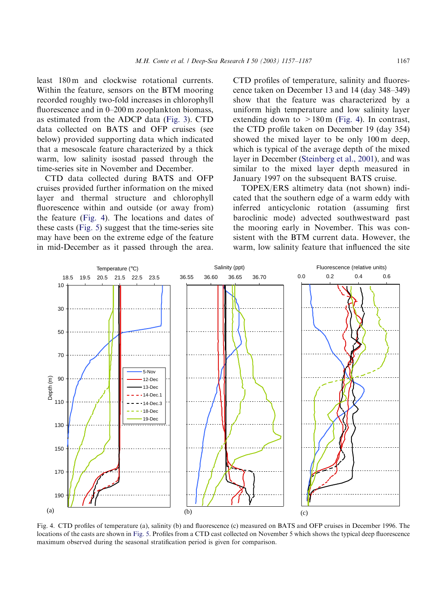<span id="page-10-0"></span>least 180 m and clockwise rotational currents. Within the feature, sensors on the BTM mooring recorded roughly two-fold increases in chlorophyll fluorescence and in 0–200 m zooplankton biomass, as estimated from the ADCP data [\(Fig. 3](#page-9-0)). CTD data collected on BATS and OFP cruises (see below) provided supporting data which indicated that a mesoscale feature characterized by a thick warm, low salinity isostad passed through the time-series site in November and December.

CTD data collected during BATS and OFP cruises provided further information on the mixed layer and thermal structure and chlorophyll fluorescence within and outside (or away from) the feature (Fig. 4). The locations and dates of these casts [\(Fig. 5](#page-11-0)) suggest that the time-series site may have been on the extreme edge of the feature in mid-December as it passed through the area.

CTD profiles of temperature, salinity and fluorescence taken on December 13 and 14 (day 348–349) show that the feature was characterized by a uniform high temperature and low salinity layer extending down to  $>180 \text{ m}$  (Fig. 4). In contrast, the CTD profile taken on December 19 (day 354) showed the mixed layer to be only 100 m deep, which is typical of the average depth of the mixed layer in December [\(Steinberg et al., 2001\)](#page-29-0), and was similar to the mixed layer depth measured in January 1997 on the subsequent BATS cruise.

TOPEX/ERS altimetry data (not shown) indicated that the southern edge of a warm eddy with inferred anticyclonic rotation (assuming first baroclinic mode) advected southwestward past the mooring early in November. This was consistent with the BTM current data. However, the warm, low salinity feature that influenced the site



Fig. 4. CTD profiles of temperature (a), salinity (b) and fluorescence (c) measured on BATS and OFP cruises in December 1996. The locations of the casts are shown in [Fig. 5.](#page-11-0) Profiles from a CTD cast collected on November 5 which shows the typical deep fluorescence maximum observed during the seasonal stratification period is given for comparison.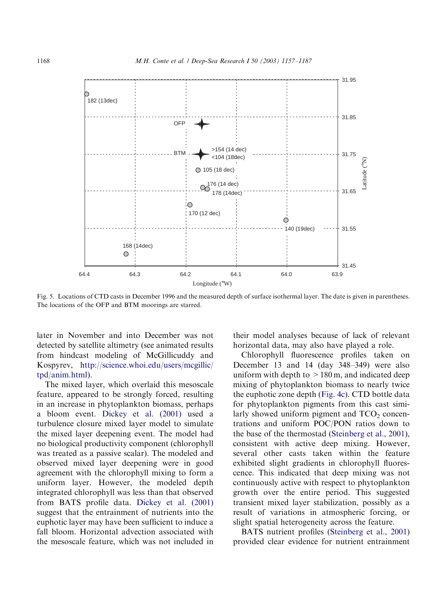<span id="page-11-0"></span>

Fig. 5. Locations of CTD casts in December 1996 and the measured depth of surface isothermal layer. The date is given in parentheses. The locations of the OFP and BTM moorings are starred.

later in November and into December was not detected by satellite altimetry (see animated results from hindcast modeling of McGillicuddy and Kospyrev, [http://science.whoi.edu/users/mcgillic/](http://science.whoi.edu/users/mcgillic/tpd/anim.html) [tpd/anim.html](http://science.whoi.edu/users/mcgillic/tpd/anim.html)).

The mixed layer, which overlaid this mesoscale feature, appeared to be strongly forced, resulting in an increase in phytoplankton biomass, perhaps a bloom event. [Dickey et al. \(2001\)](#page-26-0) used a turbulence closure mixed layer model to simulate the mixed layer deepening event. The model had no biological productivity component (chlorophyll was treated as a passive scalar). The modeled and observed mixed layer deepening were in good agreement with the chlorophyll mixing to form a uniform layer. However, the modeled depth integrated chlorophyll was less than that observed from BATS profile data. [Dickey et al. \(2001\)](#page-26-0) suggest that the entrainment of nutrients into the euphotic layer may have been sufficient to induce a fall bloom. Horizontal advection associated with the mesoscale feature, which was not included in

their model analyses because of lack of relevant horizontal data, may also have played a role.

Chlorophyll fluorescence profiles taken on December 13 and 14 (day 348–349) were also uniform with depth to  $>180$  m, and indicated deep mixing of phytoplankton biomass to nearly twice the euphotic zone depth [\(Fig. 4c](#page-10-0)). CTD bottle data for phytoplankton pigments from this cast similarly showed uniform pigment and  $TCO<sub>2</sub>$  concentrations and uniform POC/PON ratios down to the base of the thermostad ([Steinberg et al., 2001](#page-29-0)), consistent with active deep mixing. However, several other casts taken within the feature exhibited slight gradients in chlorophyll fluorescence. This indicated that deep mixing was not continuously active with respect to phytoplankton growth over the entire period. This suggested transient mixed layer stabilization, possibly as a result of variations in atmospheric forcing, or slight spatial heterogeneity across the feature.

BATS nutrient profiles [\(Steinberg et al., 2001\)](#page-29-0) provided clear evidence for nutrient entrainment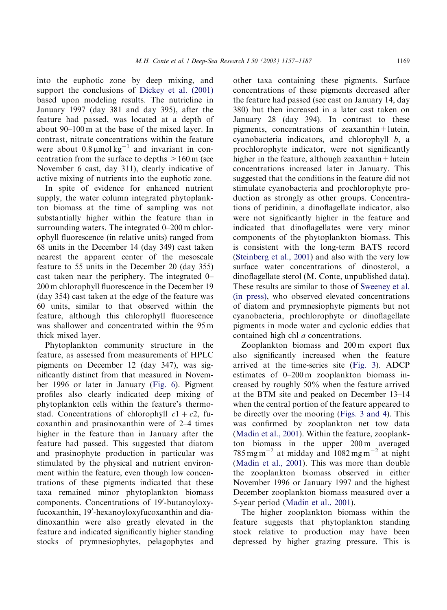into the euphotic zone by deep mixing, and support the conclusions of [Dickey et al. \(2001\)](#page-26-0) based upon modeling results. The nutricline in January 1997 (day 381 and day 395), after the feature had passed, was located at a depth of about 90–100 m at the base of the mixed layer. In contrast, nitrate concentrations within the feature were about  $0.8 \mu$ mol kg<sup>-1</sup> and invariant in concentration from the surface to depths  $>160$  m (see November 6 cast, day 311), clearly indicative of active mixing of nutrients into the euphotic zone.

In spite of evidence for enhanced nutrient supply, the water column integrated phytoplankton biomass at the time of sampling was not substantially higher within the feature than in surrounding waters. The integrated 0–200 m chlorophyll fluorescence (in relative units) ranged from 68 units in the December 14 (day 349) cast taken nearest the apparent center of the mesoscale feature to 55 units in the December 20 (day 355) cast taken near the periphery. The integrated 0– 200 m chlorophyll fluorescence in the December 19 (day 354) cast taken at the edge of the feature was 60 units, similar to that observed within the feature, although this chlorophyll fluorescence was shallower and concentrated within the 95 m thick mixed layer.

Phytoplankton community structure in the feature, as assessed from measurements of HPLC pigments on December 12 (day 347), was significantly distinct from that measured in November 1996 or later in January ([Fig. 6](#page-13-0)). Pigment profiles also clearly indicated deep mixing of phytoplankton cells within the feature's thermostad. Concentrations of chlorophyll  $c1 + c2$ , fucoxanthin and prasinoxanthin were of 2–4 times higher in the feature than in January after the feature had passed. This suggested that diatom and prasinophyte production in particular was stimulated by the physical and nutrient environment within the feature, even though low concentrations of these pigments indicated that these taxa remained minor phytoplankton biomass components. Concentrations of 19'-butanoyloxyfucoxanthin, 19'-hexanoyloxyfucoxanthin and diadinoxanthin were also greatly elevated in the feature and indicated significantly higher standing stocks of prymnesiophytes, pelagophytes and

other taxa containing these pigments. Surface concentrations of these pigments decreased after the feature had passed (see cast on January 14, day 380) but then increased in a later cast taken on January 28 (day 394). In contrast to these pigments, concentrations of zeaxanthin+lutein, cyanobacteria indicators, and chlorophyll  $b$ , a prochlorophyte indicator, were not significantly higher in the feature, although zeaxanthin + lutein concentrations increased later in January. This suggested that the conditions in the feature did not stimulate cyanobacteria and prochlorophyte production as strongly as other groups. Concentrations of peridinin, a dinoflagellate indicator, also were not significantly higher in the feature and indicated that dinoflagellates were very minor components of the phytoplankton biomass. This is consistent with the long-term BATS record [\(Steinberg et al., 2001\)](#page-29-0) and also with the very low surface water concentrations of dinosterol, a dinoflagellate sterol (M. Conte, unpublished data). These results are similar to those of [Sweeney et al.](#page-29-0) [\(in press\),](#page-29-0) who observed elevated concentrations of diatom and prymnesiophyte pigments but not cyanobacteria, prochlorophyte or dinoflagellate pigments in mode water and cyclonic eddies that contained high chl a concentrations.

Zooplankton biomass and 200 m export flux also significantly increased when the feature arrived at the time-series site [\(Fig. 3\)](#page-9-0). ADCP estimates of 0–200 m zooplankton biomass increased by roughly 50% when the feature arrived at the BTM site and peaked on December 13–14 when the central portion of the feature appeared to be directly over the mooring ([Figs. 3 and 4](#page-9-0)). This was confirmed by zooplankton net tow data [\(Madin et al., 2001](#page-28-0)). Within the feature, zooplankton biomass in the upper 200 m averaged  $785 \text{ mg m}^{-2}$  at midday and  $1082 \text{ mg m}^{-2}$  at night [\(Madin et al., 2001](#page-28-0)). This was more than double the zooplankton biomass observed in either November 1996 or January 1997 and the highest December zooplankton biomass measured over a 5-year period ([Madin et al., 2001](#page-28-0)).

The higher zooplankton biomass within the feature suggests that phytoplankton standing stock relative to production may have been depressed by higher grazing pressure. This is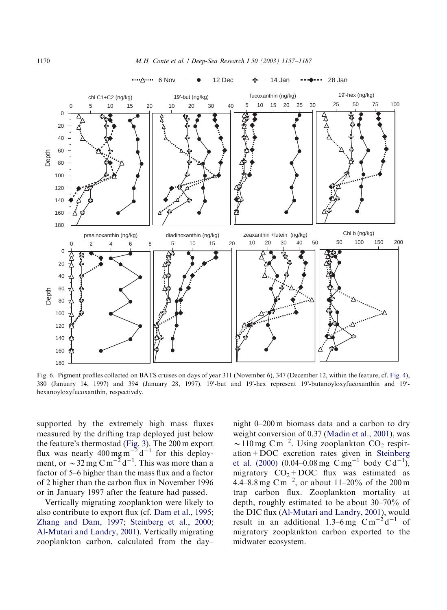<span id="page-13-0"></span>

Fig. 6. Pigment profiles collected on BATS cruises on days of year 311 (November 6), 347 (December 12, within the feature, cf. [Fig. 4](#page-10-0)), 380 (January 14, 1997) and 394 (January 28, 1997). 19'-but and 19'-hex represent 19'-butanoyloxyfucoxanthin and 19'hexanoyloxyfucoxanthin, respectively.

supported by the extremely high mass fluxes measured by the drifting trap deployed just below the feature's thermostad [\(Fig. 3\)](#page-9-0). The 200 m export flux was nearly  $400 \text{ mg m}^{-2} \text{d}^{-1}$  for this deployment, or  $\sim$  32 mg C m<sup>-2</sup> d<sup>-1</sup>. This was more than a factor of 5–6 higher than the mass flux and a factor of 2 higher than the carbon flux in November 1996 or in January 1997 after the feature had passed.

Vertically migrating zooplankton were likely to also contribute to export flux (cf. [Dam et al., 1995](#page-26-0); [Zhang and Dam, 1997](#page-30-0); [Steinberg et al., 2000](#page-29-0); [Al-Mutari and Landry, 2001\)](#page-25-0). Vertically migrating zooplankton carbon, calculated from the day–

night 0–200 m biomass data and a carbon to dry weight conversion of 0.37 ([Madin et al., 2001\)](#page-28-0), was  $\sim$ 110 mg C m<sup>-2</sup>. Using zooplankton CO<sub>2</sub> respiration+DOC excretion rates given in [Steinberg](#page-29-0) [et al. \(2000\)](#page-29-0) (0.04–0.08 mg  $Cmg^{-1}$  body  $Cd^{-1}$ ), migratory  $CO<sub>2</sub> + DOC$  flux was estimated as 4.4–8.8 mg C m<sup>-2</sup>, or about 11–20% of the 200 m trap carbon flux. Zooplankton mortality at depth, roughly estimated to be about 30–70% of the DIC flux ([Al-Mutari and Landry, 2001](#page-25-0)), would result in an additional 1.3–6 mg  $\text{C m}^{-2} \text{d}^{-1}$  of migratory zooplankton carbon exported to the midwater ecosystem.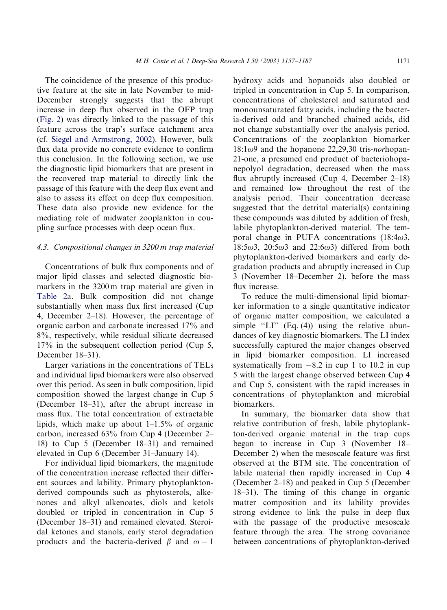The coincidence of the presence of this productive feature at the site in late November to mid-December strongly suggests that the abrupt increase in deep flux observed in the OFP trap [\(Fig. 2\)](#page-8-0) was directly linked to the passage of this feature across the trap's surface catchment area (cf. [Siegel and Armstrong, 2002](#page-29-0)). However, bulk flux data provide no concrete evidence to confirm this conclusion. In the following section, we use the diagnostic lipid biomarkers that are present in the recovered trap material to directly link the passage of this feature with the deep flux event and also to assess its effect on deep flux composition. These data also provide new evidence for the mediating role of midwater zooplankton in coupling surface processes with deep ocean flux.

## 4.3. Compositional changes in 3200 m trap material

Concentrations of bulk flux components and of major lipid classes and selected diagnostic biomarkers in the 3200 m trap material are given in [Table 2a](#page-15-0). Bulk composition did not change substantially when mass flux first increased (Cup 4, December 2–18). However, the percentage of organic carbon and carbonate increased 17% and 8%, respectively, while residual silicate decreased 17% in the subsequent collection period (Cup 5, December 18–31).

Larger variations in the concentrations of TELs and individual lipid biomarkers were also observed over this period. As seen in bulk composition, lipid composition showed the largest change in Cup 5 (December 18–31), after the abrupt increase in mass flux. The total concentration of extractable lipids, which make up about 1–1.5% of organic carbon, increased 63% from Cup 4 (December 2– 18) to Cup 5 (December 18–31) and remained elevated in Cup 6 (December 31–January 14).

For individual lipid biomarkers, the magnitude of the concentration increase reflected their different sources and lability. Primary phytoplanktonderived compounds such as phytosterols, alkenones and alkyl alkenoates, diols and ketols doubled or tripled in concentration in Cup 5 (December 18–31) and remained elevated. Steroidal ketones and stanols, early sterol degradation products and the bacteria-derived  $\beta$  and  $\omega - 1$ 

hydroxy acids and hopanoids also doubled or tripled in concentration in Cup 5. In comparison, concentrations of cholesterol and saturated and monounsaturated fatty acids, including the bacteria-derived odd and branched chained acids, did not change substantially over the analysis period. Concentrations of the zooplankton biomarker  $18:1\omega$ 9 and the hopanone 22,29,30 tris-*norhopan*-21-one, a presumed end product of bacteriohopanepolyol degradation, decreased when the mass flux abruptly increased (Cup 4, December 2–18) and remained low throughout the rest of the analysis period. Their concentration decrease suggested that the detrital material(s) containing these compounds was diluted by addition of fresh, labile phytoplankton-derived material. The temporal change in PUFA concentrations  $(18:4\omega)$ ,  $18:5\omega$ 3,  $20:5\omega$ 3 and  $22:6\omega$ 3) differed from both phytoplankton-derived biomarkers and early degradation products and abruptly increased in Cup 3 (November 18–December 2), before the mass flux increase.

To reduce the multi-dimensional lipid biomarker information to a single quantitative indicator of organic matter composition, we calculated a simple "LI"  $(Eq. (4))$  using the relative abundances of key diagnostic biomarkers. The LI index successfully captured the major changes observed in lipid biomarker composition. LI increased systematically from  $-8.2$  in cup 1 to 10.2 in cup 5 with the largest change observed between Cup 4 and Cup 5, consistent with the rapid increases in concentrations of phytoplankton and microbial biomarkers.

In summary, the biomarker data show that relative contribution of fresh, labile phytoplankton-derived organic material in the trap cups began to increase in Cup 3 (November 18– December 2) when the mesoscale feature was first observed at the BTM site. The concentration of labile material then rapidly increased in Cup 4 (December 2–18) and peaked in Cup 5 (December 18–31). The timing of this change in organic matter composition and its lability provides strong evidence to link the pulse in deep flux with the passage of the productive mesoscale feature through the area. The strong covariance between concentrations of phytoplankton-derived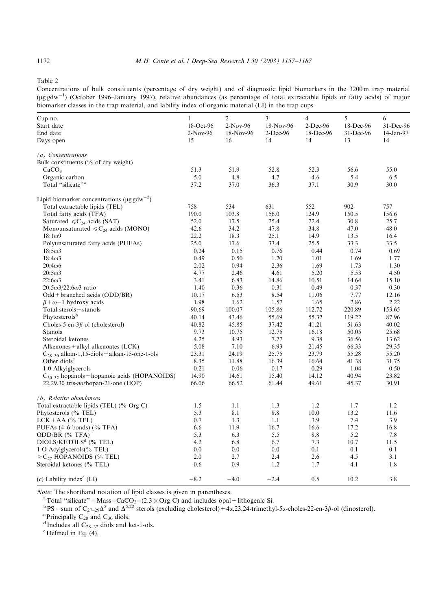<span id="page-15-0"></span>Table 2

Concentrations of bulk constituents (percentage of dry weight) and of diagnostic lipid biomarkers in the 3200 m trap material ( $\mu$ g gdw<sup>-1</sup>) (October 1996–January 1997), relative abundances (as percentage of total extractable lipids or fatty acids) of major biomarker classes in the trap material, and lability index of organic material (LI) in the trap cups

| Cup no.                                                      | 1          | 2         | 3           | 4           | 5         | 6           |
|--------------------------------------------------------------|------------|-----------|-------------|-------------|-----------|-------------|
| Start date                                                   | 18-Oct-96  | 2-Nov-96  | 18-Nov-96   | $2$ -Dec-96 | 18-Dec-96 | 31-Dec-96   |
| End date                                                     | $2-Nov-96$ | 18-Nov-96 | $2$ -Dec-96 | 18-Dec-96   | 31-Dec-96 | $14-Jan-97$ |
| Days open                                                    | 15         | 16        | 14          | 14          | 13        | 14          |
| (a) Concentrations                                           |            |           |             |             |           |             |
| Bulk constituents $(\%$ of dry weight)                       |            |           |             |             |           |             |
| CaCO <sub>3</sub>                                            | 51.3       | 51.9      | 52.8        | 52.3        | 56.6      | 55.0        |
| Organic carbon                                               | 5.0        | 4.8       | 4.7         | 4.6         | 5.4       | 6.5         |
| Total "silicate" <sup>a</sup>                                | 37.2       | 37.0      | 36.3        | 37.1        | 30.9      | 30.0        |
| Lipid biomarker concentrations ( $\mu$ g gdw <sup>-2</sup> ) |            |           |             |             |           |             |
| Total extractable lipids (TEL)                               | 758        | 534       | 631         | 552         | 902       | 757         |
| Total fatty acids (TFA)                                      | 190.0      | 103.8     | 156.0       | 124.9       | 150.5     | 156.6       |
| Saturated $\leq C_{24}$ acids (SAT)                          | 52.0       | 17.5      | 25.4        | 22.4        | 30.8      | 25.7        |
| Monounsaturated $\leq C_{24}$ acids (MONO)                   | 42.6       | 34.2      | 47.8        | 34.8        | 47.0      | 48.0        |
| $18:1\omega$ 9                                               | 22.2       | 18.3      | 25.1        | 14.9        | 13.5      | 16.4        |
| Polyunsaturated fatty acids (PUFAs)                          | 25.0       | 17.6      | 33.4        | 25.5        | 33.3      | 33.5        |
| $18:5\omega3$                                                | 0.24       | 0.15      | 0.76        | 0.44        | 0.74      | 0.69        |
| $18:4\omega$ 3                                               | 0.49       | 0.50      | 1.20        | 1.01        | 1.69      | 1.77        |
| $20:4\omega$ 6                                               | 2.02       | 0.94      | 2.36        | 1.69        | 1.73      | 1.30        |
| $20:5\omega3$                                                | 4.77       | 2.46      | 4.61        | 5.20        | 5.53      | 4.50        |
| $22:6\omega3$                                                | 3.41       | 6.83      | 14.86       | 10.51       | 14.64     | 15.10       |
| $20:5\omega^3/22:6\omega^3$ ratio                            | 1.40       | 0.36      | 0.31        | 0.49        | 0.37      | 0.30        |
| $Odd + branched \text{ acids } (ODD/BR)$                     | 10.17      | 6.53      | 8.54        | 11.06       | 7.77      | 12.16       |
| $\beta + \omega - 1$ hydroxy acids                           | 1.98       | 1.62      | 1.57        | 1.65        | 2.86      | 2.22        |
| Total sterols + stanols                                      | 90.69      | 100.07    | 105.86      | 112.72      | 220.89    | 153.65      |
| Phytosterolsb                                                | 40.14      | 43.46     | 55.69       | 55.32       | 119.22    | 87.96       |
| Choles-5-en-3 $\beta$ -ol (cholesterol)                      | 40.82      | 45.85     | 37.42       | 41.21       | 51.63     | 40.02       |
| Stanols                                                      | 9.73       | 10.75     | 12.75       | 16.18       | 50.05     | 25.68       |
| Steroidal ketones                                            | 4.25       | 4.93      | 7.77        | 9.38        | 36.56     | 13.62       |
| Alkenones + alkyl alkenoates (LCK)                           | 5.08       | 7.10      | 6.93        | 21.45       | 66.33     | 29.35       |
| $C_{28-30}$ alkan-1,15-diols + alkan-15-one-1-ols            | 23.31      | 24.19     | 25.75       | 23.79       | 55.28     | 55.20       |
| Other diols <sup>c</sup>                                     | 8.35       | 11.88     | 16.39       | 16.64       | 41.38     | 31.75       |
| 1-0-Alkylglycerols                                           | 0.21       | 0.06      | 0.17        | 0.29        | 1.04      | 0.50        |
| $C_{30-32}$ hopanols + hopanoic acids (HOPANOIDS)            | 14.90      | 14.61     | 15.40       | 14.12       | 40.94     | 23.82       |
| 22,29,30 tris-norhopan-21-one (HOP)                          | 66.06      | 66.52     | 61.44       | 49.61       | 45.37     | 30.91       |
| $(b)$ Relative abundances                                    |            |           |             |             |           |             |
| Total extractable lipids (TEL) (% Org C)                     | 1.5        | 1.1       | 1.3         | 1.2         | 1.7       | 1.2         |
| Phytosterols (% TEL)                                         | 5.3        | 8.1       | 8.8         | 10.0        | 13.2      | 11.6        |
| $LCK + AA$ (% TEL)                                           | 0.7        | 1.3       | 1.1         | 3.9         | 7.4       | 3.9         |
| PUFAs (4–6 bonds) (% TFA)                                    | 6.6        | 11.9      | 16.7        | 16.6        | 17.2      | 16.8        |
| ODD/BR (% TFA)                                               | 5.3        | 6.3       | 5.5         | 8.8         | 5.2       | 7.8         |
| $DIOLS/KEYOLSd$ (% TEL)                                      | 4.2        | 6.8       | 6.7         | 7.3         | 10.7      | 11.5        |
| 1-O-Acylglycerols(% TEL)                                     | 0.0        | 0.0       | 0.0         | 0.1         | 0.1       | 0.1         |
| $>C_{27}$ HOPANOIDS (% TEL)                                  | 2.0        | 2.7       | 2.4         | 2.6         | 4.5       | 3.1         |
| Steroidal ketones (% TEL)                                    | 0.6        | 0.9       | 1.2         | 1.7         | 4.1       | 1.8         |
| $(c)$ Lability index <sup>e</sup> (LI)                       | $-8.2$     | $-4.0$    | $-2.4$      | 0.5         | 10.2      | 3.8         |

*Note:* The shorthand notation of lipid classes is given in parentheses.<br> ${}^{a}$ Total "silicate" – Mass. CoCO. (2.3 × Org.C) and includes onel.

<sup>a</sup> Total "silicate" = Mass-CaCO<sub>3</sub>-(2.3 × Org C) and includes opal + lithogenic Si.<br><sup>b</sup>PS = sum of C<sub>27–29</sub> $\Delta^5$  and  $\Delta^{5,22}$  sterols (excluding cholesterol) +4a,23,24-trimethyl-5a-choles-22-en-3 $\beta$ -ol (dinosterol).

<sup>c</sup> Principally C<sub>28</sub> and C<sub>30</sub> diols.<br><sup>d</sup> Includes all C<sub>28–32</sub> diols and ket-1-ols. e

Defined in Eq. (4).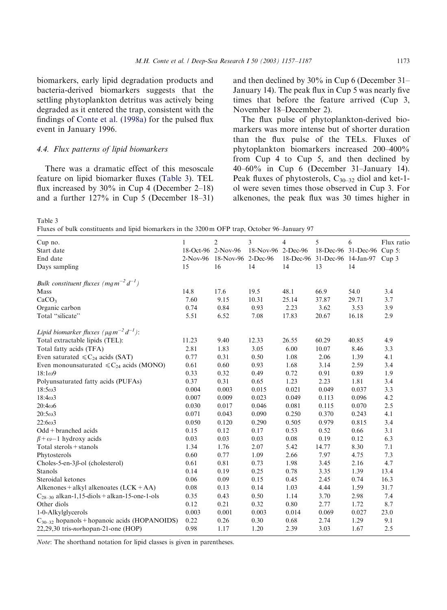<span id="page-16-0"></span>biomarkers, early lipid degradation products and bacteria-derived biomarkers suggests that the settling phytoplankton detritus was actively being degraded as it entered the trap, consistent with the findings of [Conte et al. \(1998a\)](#page-26-0) for the pulsed flux event in January 1996.

## 4.4. Flux patterns of lipid biomarkers

There was a dramatic effect of this mesoscale feature on lipid biomarker fluxes (Table 3). TEL flux increased by 30% in Cup 4 (December 2–18) and a further 127% in Cup 5 (December 18–31) and then declined by 30% in Cup 6 (December 31– January 14). The peak flux in Cup 5 was nearly five times that before the feature arrived (Cup 3, November 18–December 2).

The flux pulse of phytoplankton-derived biomarkers was more intense but of shorter duration than the flux pulse of the TELs. Fluxes of phytoplankton biomarkers increased 200–400% from Cup 4 to Cup 5, and then declined by 40–60% in Cup 6 (December 31–January 14). Peak fluxes of phytosterols,  $C_{30-32}$  diol and ket-1ol were seven times those observed in Cup 3. For alkenones, the peak flux was 30 times higher in

Table 3

Fluxes of bulk constituents and lipid biomarkers in the 3200 m OFP trap, October 96–January 97

| Cup no.                                                             | 1          | $\overline{2}$     | 3                  | 4     | 5                                   | 6                          | Flux ratio |
|---------------------------------------------------------------------|------------|--------------------|--------------------|-------|-------------------------------------|----------------------------|------------|
| Start date                                                          |            | 18-Oct-96 2-Nov-96 | 18-Nov-96 2-Dec-96 |       |                                     | 18-Dec-96 31-Dec-96 Cup 5: |            |
| End date                                                            | $2-Nov-96$ | 18-Nov-96          | $2-Dec-96$         |       | 18-Dec-96 31-Dec-96 14-Jan-97 Cup 3 |                            |            |
| Days sampling                                                       | 15         | 16                 | 14                 | 14    | 13                                  | 14                         |            |
| Bulk constituent fluxes (mg $m^{-2} d^{-1}$ )                       |            |                    |                    |       |                                     |                            |            |
| Mass                                                                | 14.8       | 17.6               | 19.5               | 48.1  | 66.9                                | 54.0                       | 3.4        |
| CaCO <sub>3</sub>                                                   | 7.60       | 9.15               | 10.31              | 25.14 | 37.87                               | 29.71                      | 3.7        |
| Organic carbon                                                      | 0.74       | 0.84               | 0.93               | 2.23  | 3.62                                | 3.53                       | 3.9        |
| Total "silicate"                                                    | 5.51       | 6.52               | 7.08               | 17.83 | 20.67                               | 16.18                      | 2.9        |
| Lipid biomarker fluxes ( $\mu$ g m <sup>-2</sup> d <sup>-1</sup> ): |            |                    |                    |       |                                     |                            |            |
| Total extractable lipids (TEL):                                     | 11.23      | 9.40               | 12.33              | 26.55 | 60.29                               | 40.85                      | 4.9        |
| Total fatty acids (TFA)                                             | 2.81       | 1.83               | 3.05               | 6.00  | 10.07                               | 8.46                       | 3.3        |
| Even saturated $\leq C_{24}$ acids (SAT)                            | 0.77       | 0.31               | 0.50               | 1.08  | 2.06                                | 1.39                       | 4.1        |
| Even monounsaturated $\leq C_{24}$ acids (MONO)                     | 0.61       | 0.60               | 0.93               | 1.68  | 3.14                                | 2.59                       | 3.4        |
| $18:1\omega9$                                                       | 0.33       | 0.32               | 0.49               | 0.72  | 0.91                                | 0.89                       | 1.9        |
| Polyunsaturated fatty acids (PUFAs)                                 | 0.37       | 0.31               | 0.65               | 1.23  | 2.23                                | 1.81                       | 3.4        |
| $18:5\omega3$                                                       | 0.004      | 0.003              | 0.015              | 0.021 | 0.049                               | 0.037                      | 3.3        |
| $18:4\omega$ 3                                                      | 0.007      | 0.009              | 0.023              | 0.049 | 0.113                               | 0.096                      | 4.2        |
| $20:4\omega$ 6                                                      | 0.030      | 0.017              | 0.046              | 0.081 | 0.115                               | 0.070                      | 2.5        |
| $20:5\omega3$                                                       | 0.071      | 0.043              | 0.090              | 0.250 | 0.370                               | 0.243                      | 4.1        |
| $22:6\omega3$                                                       | 0.050      | 0.120              | 0.290              | 0.505 | 0.979                               | 0.815                      | 3.4        |
| $Odd + branched acids$                                              | 0.15       | 0.12               | 0.17               | 0.53  | 0.52                                | 0.66                       | 3.1        |
| $\beta + \omega - 1$ hydroxy acids                                  | 0.03       | 0.03               | 0.03               | 0.08  | 0.19                                | 0.12                       | 6.3        |
| Total sterols $+$ stanols                                           | 1.34       | 1.76               | 2.07               | 5.42  | 14.77                               | 8.30                       | 7.1        |
| Phytosterols                                                        | 0.60       | 0.77               | 1.09               | 2.66  | 7.97                                | 4.75                       | 7.3        |
| Choles-5-en-3 $\beta$ -ol (cholesterol)                             | 0.61       | 0.81               | 0.73               | 1.98  | 3.45                                | 2.16                       | 4.7        |
| Stanols                                                             | 0.14       | 0.19               | 0.25               | 0.78  | 3.35                                | 1.39                       | 13.4       |
| Steroidal ketones                                                   | 0.06       | 0.09               | 0.15               | 0.45  | 2.45                                | 0.74                       | 16.3       |
| Alkenones + alkyl alkenoates $(LCK + AA)$                           | 0.08       | 0.13               | 0.14               | 1.03  | 4.44                                | 1.59                       | 31.7       |
| $C_{28-30}$ alkan-1,15-diols + alkan-15-one-1-ols                   | 0.35       | 0.43               | 0.50               | 1.14  | 3.70                                | 2.98                       | 7.4        |
| Other diols                                                         | 0.12       | 0.21               | 0.32               | 0.80  | 2.77                                | 1.72                       | 8.7        |
| 1-0-Alkylglycerols                                                  | 0.003      | 0.001              | 0.003              | 0.014 | 0.069                               | 0.027                      | 23.0       |
| $C_{30-32}$ hopanols + hopanoic acids (HOPANOIDS)                   | 0.22       | 0.26               | 0.30               | 0.68  | 2.74                                | 1.29                       | 9.1        |
| 22,29,30 tris-norhopan-21-one (HOP)                                 | 0.98       | 1.17               | 1.20               | 2.39  | 3.03                                | 1.67                       | 2.5        |

Note: The shorthand notation for lipid classes is given in parentheses.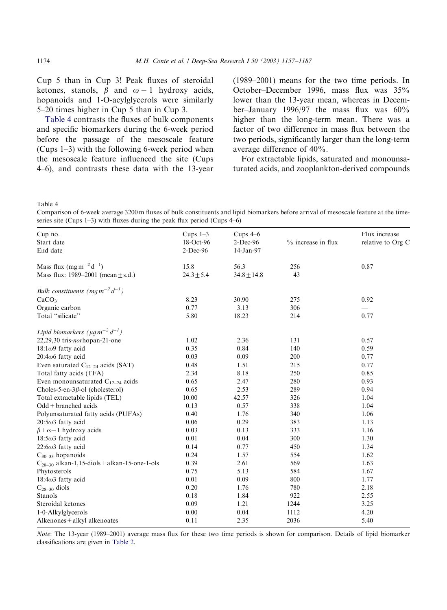Cup 5 than in Cup 3! Peak fluxes of steroidal ketones, stanols,  $\beta$  and  $\omega - 1$  hydroxy acids, hopanoids and 1-O-acylglycerols were similarly 5–20 times higher in Cup 5 than in Cup 3.

Table 4 contrasts the fluxes of bulk components and specific biomarkers during the 6-week period before the passage of the mesoscale feature (Cups 1–3) with the following 6-week period when the mesoscale feature influenced the site (Cups 4–6), and contrasts these data with the 13-year

(1989–2001) means for the two time periods. In October–December 1996, mass flux was 35% lower than the 13-year mean, whereas in December–January 1996/97 the mass flux was 60% higher than the long-term mean. There was a factor of two difference in mass flux between the two periods, significantly larger than the long-term average difference of 40%.

For extractable lipids, saturated and monounsaturated acids, and zooplankton-derived compounds

Table 4

Comparison of 6-week average 3200 m fluxes of bulk constituents and lipid biomarkers before arrival of mesoscale feature at the timeseries site (Cups 1–3) with fluxes during the peak flux period (Cups 4–6)

| Cup no.                                                      | Cups $1-3$     | Cups 4-6        |                      | Flux increase     |
|--------------------------------------------------------------|----------------|-----------------|----------------------|-------------------|
| Start date                                                   | 18-Oct-96      | $2$ -Dec-96     | $%$ increase in flux | relative to Org C |
| End date                                                     | 2-Dec-96       | 14-Jan-97       |                      |                   |
| Mass flux $(mg m^{-2} d^{-1})$                               | 15.8           | 56.3            | 256                  | 0.87              |
| Mass flux: 1989–2001 (mean $\pm$ s.d.)                       | $24.3 \pm 5.4$ | $34.8 \pm 14.8$ | 43                   |                   |
| Bulk constituents (mg $m^{-2} d^{-1}$ )                      |                |                 |                      |                   |
| CaCO <sub>3</sub>                                            | 8.23           | 30.90           | 275                  | 0.92              |
| Organic carbon                                               | 0.77           | 3.13            | 306                  |                   |
| Total "silicate"                                             | 5.80           | 18.23           | 214                  | 0.77              |
| Lipid biomarkers ( $\mu$ g m <sup>-2</sup> d <sup>-1</sup> ) |                |                 |                      |                   |
| 22,29,30 tris-norhopan-21-one                                | 1.02           | 2.36            | 131                  | 0.57              |
| $18:1\omega$ 9 fatty acid                                    | 0.35           | 0.84            | 140                  | 0.59              |
| $20:4\omega$ 6 fatty acid                                    | 0.03           | 0.09            | 200                  | 0.77              |
| Even saturated $C_{12-24}$ acids (SAT)                       | 0.48           | 1.51            | 215                  | 0.77              |
| Total fatty acids (TFA)                                      | 2.34           | 8.18            | 250                  | 0.85              |
| Even monounsaturated $C_{12-24}$ acids                       | 0.65           | 2.47            | 280                  | 0.93              |
| Choles-5-en-3 $\beta$ -ol (cholesterol)                      | 0.65           | 2.53            | 289                  | 0.94              |
| Total extractable lipids (TEL)                               | 10.00          | 42.57           | 326                  | 1.04              |
| $Odd + branched acids$                                       | 0.13           | 0.57            | 338                  | 1.04              |
| Polyunsaturated fatty acids (PUFAs)                          | 0.40           | 1.76            | 340                  | 1.06              |
| $20:5\omega$ 3 fatty acid                                    | 0.06           | 0.29            | 383                  | 1.13              |
| $\beta + \omega - 1$ hydroxy acids                           | 0.03           | 0.13            | 333                  | 1.16              |
| $18:5\omega$ 3 fatty acid                                    | 0.01           | 0.04            | 300                  | 1.30              |
| $22:6\omega$ 3 fatty acid                                    | 0.14           | 0.77            | 450                  | 1.34              |
| $C_{30-33}$ hopanoids                                        | 0.24           | 1.57            | 554                  | 1.62              |
| $C_{28-30}$ alkan-1,15-diols + alkan-15-one-1-ols            | 0.39           | 2.61            | 569                  | 1.63              |
| Phytosterols                                                 | 0.75           | 5.13            | 584                  | 1.67              |
| $18:4\omega$ 3 fatty acid                                    | 0.01           | 0.09            | 800                  | 1.77              |
| $C_{28-30}$ diols                                            | 0.20           | 1.76            | 780                  | 2.18              |
| Stanols                                                      | 0.18           | 1.84            | 922                  | 2.55              |
| Steroidal ketones                                            | 0.09           | 1.21            | 1244                 | 3.25              |
| 1-0-Alkylglycerols                                           | 0.00           | 0.04            | 1112                 | 4.20              |
| Alkenones + alkyl alkenoates                                 | 0.11           | 2.35            | 2036                 | 5.40              |

Note: The 13-year (1989–2001) average mass flux for these two time periods is shown for comparison. Details of lipid biomarker classifications are given in [Table 2.](#page-15-0)

<span id="page-17-0"></span>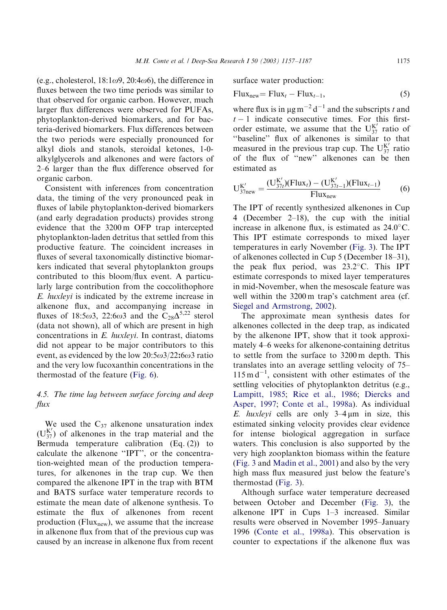(e.g., cholesterol,  $18:1\omega$ 9,  $20:4\omega$ 6), the difference in fluxes between the two time periods was similar to that observed for organic carbon. However, much larger flux differences were observed for PUFAs, phytoplankton-derived biomarkers, and for bacteria-derived biomarkers. Flux differences between the two periods were especially pronounced for alkyl diols and stanols, steroidal ketones, 1-0 alkylglycerols and alkenones and were factors of 2–6 larger than the flux difference observed for organic carbon.

Consistent with inferences from concentration data, the timing of the very pronounced peak in fluxes of labile phytoplankton-derived biomarkers (and early degradation products) provides strong evidence that the 3200 m OFP trap intercepted phytoplankton-laden detritus that settled from this productive feature. The coincident increases in fluxes of several taxonomically distinctive biomarkers indicated that several phytoplankton groups contributed to this bloom/flux event. A particularly large contribution from the coccolithophore E. huxleyi is indicated by the extreme increase in alkenone flux, and accompanying increase in fluxes of 18:5 $\omega$ 3, 22:6 $\omega$ 3 and the C<sub>28</sub> $\Delta^{5,22}$  sterol (data not shown), all of which are present in high concentrations in E. huxleyi. In contrast, diatoms did not appear to be major contributors to this event, as evidenced by the low  $20:5\omega3/22:6\omega3$  ratio and the very low fucoxanthin concentrations in the thermostad of the feature ([Fig. 6](#page-13-0)).

# 4.5. The time lag between surface forcing and deep flux

We used the  $C_{37}$  alkenone unsaturation index  $(U_{37}^{K'})$  of alkenones in the trap material and the Bermuda temperature calibration (Eq. (2)) to calculate the alkenone ''IPT'', or the concentration-weighted mean of the production temperatures, for alkenones in the trap cup. We then compared the alkenone IPT in the trap with BTM and BATS surface water temperature records to estimate the mean date of alkenone synthesis. To estimate the flux of alkenones from recent production (Flux<sub>new</sub>), we assume that the increase in alkenone flux from that of the previous cup was caused by an increase in alkenone flux from recent surface water production:

$$
Fluxnew = Fluxt - Fluxt-1,
$$
\n(5)

where flux is in  $\mu$ g m<sup>-2</sup> d<sup>-1</sup> and the subscripts t and  $t-1$  indicate consecutive times. For this firstorder estimate, we assume that the  $U_{37}^{K'}$  ratio of "baseline" flux of alkenones is similar to that measured in the previous trap cup. The  $U_{37}^{K'}$  ratio of the flux of ''new'' alkenones can be then estimated as

$$
U_{37\text{new}}^{K'} = \frac{(U_{37t}^{K'}) (Flux_t) - (U_{37t-1}^{K'}) (Flux_{t-1})}{Flux_{new}}
$$
(6)

The IPT of recently synthesized alkenones in Cup 4 (December 2–18), the cup with the initial increase in alkenone flux, is estimated as  $24.0^{\circ}$ C. This IPT estimate corresponds to mixed layer temperatures in early November ([Fig. 3\)](#page-9-0). The IPT of alkenones collected in Cup 5 (December 18–31), the peak flux period, was  $23.2^{\circ}$ C. This IPT estimate corresponds to mixed layer temperatures in mid-November, when the mesoscale feature was well within the 3200 m trap's catchment area (cf. [Siegel and Armstrong, 2002\)](#page-29-0).

The approximate mean synthesis dates for alkenones collected in the deep trap, as indicated by the alkenone IPT, show that it took approximately 4–6 weeks for alkenone-containing detritus to settle from the surface to 3200 m depth. This translates into an average settling velocity of 75–  $115 \text{ m d}^{-1}$ , consistent with other estimates of the settling velocities of phytoplankton detritus (e.g., [Lampitt, 1985;](#page-28-0) [Rice et al., 1986](#page-29-0); [Diercks and](#page-27-0) [Asper, 1997;](#page-27-0) [Conte et al., 1998a](#page-26-0)). As individual E. huxleyi cells are only  $3-4 \mu m$  in size, this estimated sinking velocity provides clear evidence for intense biological aggregation in surface waters. This conclusion is also supported by the very high zooplankton biomass within the feature [\(Fig. 3](#page-9-0) and [Madin et al., 2001\)](#page-28-0) and also by the very high mass flux measured just below the feature's thermostad [\(Fig. 3](#page-9-0)).

Although surface water temperature decreased between October and December ([Fig. 3\)](#page-9-0), the alkenone IPT in Cups 1–3 increased. Similar results were observed in November 1995–January 1996 ([Conte et al., 1998a](#page-26-0)). This observation is counter to expectations if the alkenone flux was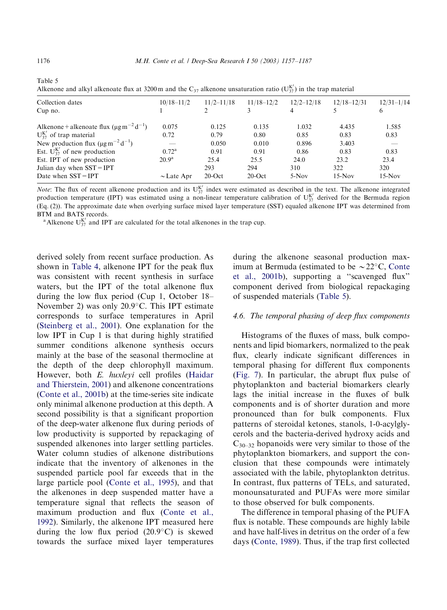| <i>menone</i> and any ranchoute has at $5200$ in and the $C_{37}$ anchone ansatutation ratio $(C_{37}^{\circ})$ in the trap material |                |                |                |                 |                |  |  |
|--------------------------------------------------------------------------------------------------------------------------------------|----------------|----------------|----------------|-----------------|----------------|--|--|
| $10/18 - 11/2$                                                                                                                       | $11/2 - 11/18$ | $11/18 - 12/2$ | $12/2 - 12/18$ | $12/18 - 12/31$ | $12/31 - 1/14$ |  |  |
|                                                                                                                                      |                |                |                |                 |                |  |  |
| 0.075                                                                                                                                | 0.125          | 0.135          | 1.032          | 4.435           | 1.585          |  |  |
| 0.72                                                                                                                                 | 0.79           | 0.80           | 0.85           | 0.83            | 0.83           |  |  |
|                                                                                                                                      | 0.050          | 0.010          | 0.896          | 3.403           |                |  |  |
| $0.72^{\rm a}$                                                                                                                       | 0.91           | 0.91           | 0.86           | 0.83            | 0.83           |  |  |
| $20.9^{\rm a}$                                                                                                                       | 25.4           | 25.5           | 24.0           | 23.2            | 23.4           |  |  |
|                                                                                                                                      | 293            | 294            | 310            | 322             | 320            |  |  |
| $\sim$ Late Apr                                                                                                                      | $20$ -Oct      | $20$ -Oct      | $5-Nov$        | $15-Nov$        | $15-Nov$       |  |  |
|                                                                                                                                      |                |                |                |                 |                |  |  |

Alkenone and alkyl alkenoate flux at 3200 m and the C<sub>37</sub> alkenone unsaturation ratio ( $U_{37}^{K'}$ ) in the trap material

*Note*: The flux of recent alkenone production and its  $U_{37}^{K'}$  index were estimated as described in the text. The alkenone integrated production temperature (IPT) was estimated using a non-linear temperature calibration of  $U_{37}^{K'}$  derived for the Bermuda region (Eq. (2)). The approximate date when overlying surface mixed layer temperature (SST) equaled alkenone IPT was determined from BTM and BATS records.

<sup>a</sup> Alkenone U<sub>37</sub> and IPT are calculated for the total alkenones in the trap cup.

derived solely from recent surface production. As shown in [Table 4,](#page-17-0) alkenone IPT for the peak flux was consistent with recent synthesis in surface waters, but the IPT of the total alkenone flux during the low flux period (Cup 1, October 18– November 2) was only  $20.9^{\circ}$ C. This IPT estimate corresponds to surface temperatures in April [\(Steinberg et al., 2001](#page-29-0)). One explanation for the low IPT in Cup 1 is that during highly stratified summer conditions alkenone synthesis occurs mainly at the base of the seasonal thermocline at the depth of the deep chlorophyll maximum. However, both E. huxleyi cell profiles ([Haidar](#page-27-0) [and Thierstein, 2001\)](#page-27-0) and alkenone concentrations [\(Conte et al., 2001b\)](#page-26-0) at the time-series site indicate only minimal alkenone production at this depth. A second possibility is that a significant proportion of the deep-water alkenone flux during periods of low productivity is supported by repackaging of suspended alkenones into larger settling particles. Water column studies of alkenone distributions indicate that the inventory of alkenones in the suspended particle pool far exceeds that in the large particle pool ([Conte et al., 1995](#page-26-0)), and that the alkenones in deep suspended matter have a temperature signal that reflects the season of maximum production and flux ([Conte et al.,](#page-26-0) [1992\)](#page-26-0). Similarly, the alkenone IPT measured here during the low flux period  $(20.9^{\circ}C)$  is skewed towards the surface mixed layer temperatures during the alkenone seasonal production maximum at Bermuda (estimated to be  $\sim$  22 $\degree$ C, [Conte](#page-26-0) [et al., 2001b](#page-26-0)), supporting a ''scavenged flux'' component derived from biological repackaging of suspended materials (Table 5).

#### 4.6. The temporal phasing of deep flux components

Histograms of the fluxes of mass, bulk components and lipid biomarkers, normalized to the peak flux, clearly indicate significant differences in temporal phasing for different flux components [\(Fig. 7](#page-20-0)). In particular, the abrupt flux pulse of phytoplankton and bacterial biomarkers clearly lags the initial increase in the fluxes of bulk components and is of shorter duration and more pronounced than for bulk components. Flux patterns of steroidal ketones, stanols, 1-0-acylglycerols and the bacteria-derived hydroxy acids and  $C_{30-32}$  hopanoids were very similar to those of the phytoplankton biomarkers, and support the conclusion that these compounds were intimately associated with the labile, phytoplankton detritus. In contrast, flux patterns of TELs, and saturated, monounsaturated and PUFAs were more similar to those observed for bulk components.

The difference in temporal phasing of the PUFA flux is notable. These compounds are highly labile and have half-lives in detritus on the order of a few days [\(Conte, 1989\)](#page-26-0). Thus, if the trap first collected

Table 5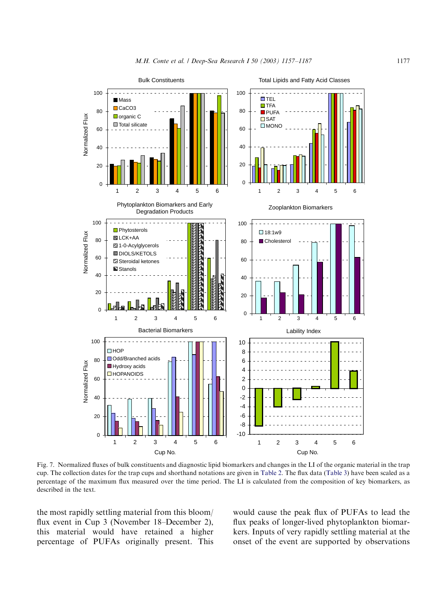<span id="page-20-0"></span>

Fig. 7. Normalized fluxes of bulk constituents and diagnostic lipid biomarkers and changes in the LI of the organic material in the trap cup. The collection dates for the trap cups and shorthand notations are given in [Table 2.](#page-15-0) The flux data [\(Table 3\)](#page-16-0) have been scaled as a percentage of the maximum flux measured over the time period. The LI is calculated from the composition of key biomarkers, as described in the text.

the most rapidly settling material from this bloom/ flux event in Cup 3 (November 18–December 2), this material would have retained a higher percentage of PUFAs originally present. This

would cause the peak flux of PUFAs to lead the flux peaks of longer-lived phytoplankton biomarkers. Inputs of very rapidly settling material at the onset of the event are supported by observations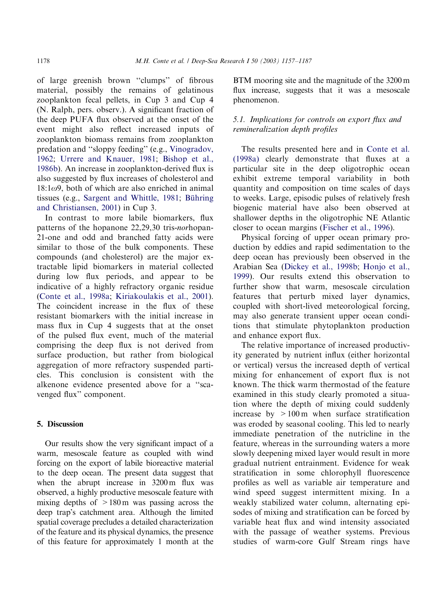of large greenish brown ''clumps'' of fibrous material, possibly the remains of gelatinous zooplankton fecal pellets, in Cup 3 and Cup 4 (N. Ralph, pers. observ.). A significant fraction of the deep PUFA flux observed at the onset of the event might also reflect increased inputs of zooplankton biomass remains from zooplankton predation and ''sloppy feeding'' (e.g., [Vinogradov,](#page-29-0) [1962;](#page-29-0) [Urrere and Knauer, 1981;](#page-29-0) [Bishop et al.,](#page-25-0) [1986b](#page-25-0)). An increase in zooplankton-derived flux is also suggested by flux increases of cholesterol and  $18:1\omega$ 9, both of which are also enriched in animal tissues (e.g., [Sargent and Whittle, 1981](#page-29-0); Bühring [and Christiansen, 2001](#page-26-0)) in Cup 3.

In contrast to more labile biomarkers, flux patterns of the hopanone 22,29,30 tris-norhopan-21-one and odd and branched fatty acids were similar to those of the bulk components. These compounds (and cholesterol) are the major extractable lipid biomarkers in material collected during low flux periods, and appear to be indicative of a highly refractory organic residue [\(Conte et al., 1998a;](#page-26-0) [Kiriakoulakis et al., 2001\)](#page-28-0). The coincident increase in the flux of these resistant biomarkers with the initial increase in mass flux in Cup 4 suggests that at the onset of the pulsed flux event, much of the material comprising the deep flux is not derived from surface production, but rather from biological aggregation of more refractory suspended particles. This conclusion is consistent with the alkenone evidence presented above for a ''scavenged flux'' component.

## 5. Discussion

Our results show the very significant impact of a warm, mesoscale feature as coupled with wind forcing on the export of labile bioreactive material to the deep ocean. The present data suggest that when the abrupt increase in 3200 m flux was observed, a highly productive mesoscale feature with mixing depths of  $>180 \text{ m}$  was passing across the deep trap's catchment area. Although the limited spatial coverage precludes a detailed characterization of the feature and its physical dynamics, the presence of this feature for approximately 1 month at the

BTM mooring site and the magnitude of the 3200 m flux increase, suggests that it was a mesoscale phenomenon.

# 5.1. Implications for controls on export flux and remineralization depth profiles

The results presented here and in [Conte et al.](#page-26-0) [\(1998a\)](#page-26-0) clearly demonstrate that fluxes at a particular site in the deep oligotrophic ocean exhibit extreme temporal variability in both quantity and composition on time scales of days to weeks. Large, episodic pulses of relatively fresh biogenic material have also been observed at shallower depths in the oligotrophic NE Atlantic closer to ocean margins ([Fischer et al., 1996\)](#page-27-0).

Physical forcing of upper ocean primary production by eddies and rapid sedimentation to the deep ocean has previously been observed in the Arabian Sea ([Dickey et al., 1998b](#page-26-0); [Honjo et al.,](#page-27-0) [1999\)](#page-27-0). Our results extend this observation to further show that warm, mesoscale circulation features that perturb mixed layer dynamics, coupled with short-lived meteorological forcing, may also generate transient upper ocean conditions that stimulate phytoplankton production and enhance export flux.

The relative importance of increased productivity generated by nutrient influx (either horizontal or vertical) versus the increased depth of vertical mixing for enhancement of export flux is not known. The thick warm thermostad of the feature examined in this study clearly promoted a situation where the depth of mixing could suddenly increase by  $>100 \text{ m}$  when surface stratification was eroded by seasonal cooling. This led to nearly immediate penetration of the nutricline in the feature, whereas in the surrounding waters a more slowly deepening mixed layer would result in more gradual nutrient entrainment. Evidence for weak stratification in some chlorophyll fluorescence profiles as well as variable air temperature and wind speed suggest intermittent mixing. In a weakly stabilized water column, alternating episodes of mixing and stratification can be forced by variable heat flux and wind intensity associated with the passage of weather systems. Previous studies of warm-core Gulf Stream rings have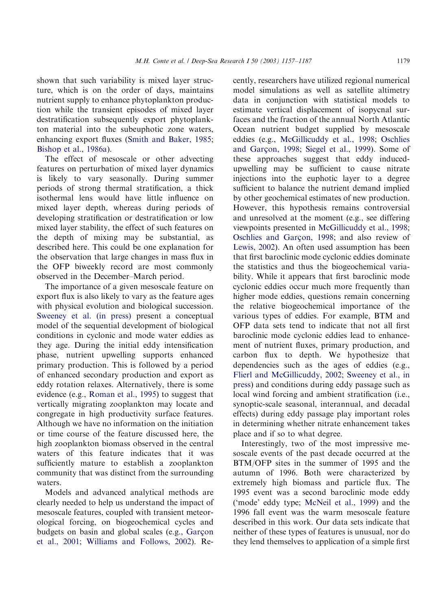shown that such variability is mixed layer structure, which is on the order of days, maintains nutrient supply to enhance phytoplankton production while the transient episodes of mixed layer destratification subsequently export phytoplankton material into the subeuphotic zone waters, enhancing export fluxes ([Smith and Baker, 1985](#page-29-0); [Bishop et al., 1986a](#page-25-0)).

The effect of mesoscale or other advecting features on perturbation of mixed layer dynamics is likely to vary seasonally. During summer periods of strong thermal stratification, a thick isothermal lens would have little influence on mixed layer depth, whereas during periods of developing stratification or destratification or low mixed layer stability, the effect of such features on the depth of mixing may be substantial, as described here. This could be one explanation for the observation that large changes in mass flux in the OFP biweekly record are most commonly observed in the December–March period.

The importance of a given mesoscale feature on export flux is also likely to vary as the feature ages with physical evolution and biological succession. [Sweeney et al. \(in press\)](#page-29-0) present a conceptual model of the sequential development of biological conditions in cyclonic and mode water eddies as they age. During the initial eddy intensification phase, nutrient upwelling supports enhanced primary production. This is followed by a period of enhanced secondary production and export as eddy rotation relaxes. Alternatively, there is some evidence (e.g., [Roman et al., 1995](#page-29-0)) to suggest that vertically migrating zooplankton may locate and congregate in high productivity surface features. Although we have no information on the initiation or time course of the feature discussed here, the high zooplankton biomass observed in the central waters of this feature indicates that it was sufficiently mature to establish a zooplankton community that was distinct from the surrounding waters.

Models and advanced analytical methods are clearly needed to help us understand the impact of mesoscale features, coupled with transient meteorological forcing, on biogeochemical cycles and budgets on basin and global scales (e.g., [Gar](#page-27-0)con [et al., 2001;](#page-27-0) [Williams and Follows, 2002\)](#page-30-0). Recently, researchers have utilized regional numerical model simulations as well as satellite altimetry data in conjunction with statistical models to estimate vertical displacement of isopycnal surfaces and the fraction of the annual North Atlantic Ocean nutrient budget supplied by mesoscale eddies (e.g., [McGillicuddy et al., 1998](#page-28-0); [Oschlies](#page-28-0) and Garc[on, 1998;](#page-28-0) [Siegel et al., 1999](#page-29-0)). Some of these approaches suggest that eddy inducedupwelling may be sufficient to cause nitrate injections into the euphotic layer to a degree sufficient to balance the nutrient demand implied by other geochemical estimates of new production. However, this hypothesis remains controversial and unresolved at the moment (e.g., see differing viewpoints presented in [McGillicuddy et al., 1998](#page-28-0); [Oschlies and Gar](#page-28-0)çon, 1998; and also review of [Lewis, 2002\)](#page-28-0). An often used assumption has been that first baroclinic mode cyclonic eddies dominate the statistics and thus the biogeochemical variability. While it appears that first baroclinic mode cyclonic eddies occur much more frequently than higher mode eddies, questions remain concerning the relative biogeochemical importance of the various types of eddies. For example, BTM and OFP data sets tend to indicate that not all first baroclinic mode cyclonic eddies lead to enhancement of nutrient fluxes, primary production, and carbon flux to depth. We hypothesize that dependencies such as the ages of eddies (e.g., [Flierl and McGillicuddy, 2002](#page-27-0); [Sweeney et al., in](#page-29-0) [press](#page-29-0)) and conditions during eddy passage such as local wind forcing and ambient stratification (i.e., synoptic-scale seasonal, interannual, and decadal effects) during eddy passage play important roles in determining whether nitrate enhancement takes place and if so to what degree.

Interestingly, two of the most impressive mesoscale events of the past decade occurred at the BTM/OFP sites in the summer of 1995 and the autumn of 1996. Both were characterized by extremely high biomass and particle flux. The 1995 event was a second baroclinic mode eddy ('mode' eddy type; [McNeil et al., 1999\)](#page-28-0) and the 1996 fall event was the warm mesoscale feature described in this work. Our data sets indicate that neither of these types of features is unusual, nor do they lend themselves to application of a simple first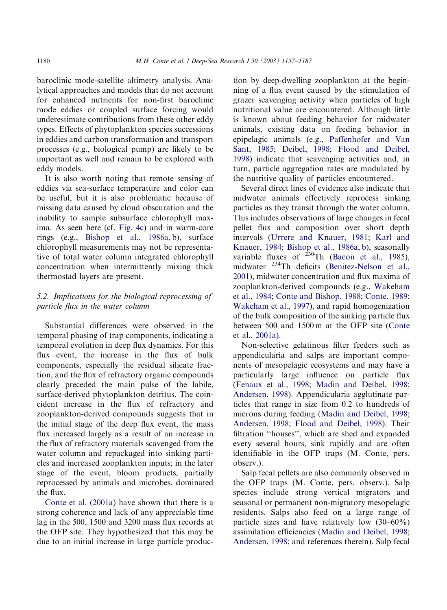baroclinic mode-satellite altimetry analysis. Analytical approaches and models that do not account for enhanced nutrients for non-first baroclinic mode eddies or coupled surface forcing would underestimate contributions from these other eddy types. Effects of phytoplankton species successions in eddies and carbon transformation and transport processes (e.g., biological pump) are likely to be important as well and remain to be explored with eddy models.

It is also worth noting that remote sensing of eddies via sea-surface temperature and color can be useful, but it is also problematic because of missing data caused by cloud obscuration and the inability to sample subsurface chlorophyll maxima. As seen here (cf. [Fig. 4c](#page-10-0)) and in warm-core rings (e.g., [Bishop et al., 1986a, b](#page-25-0)), surface chlorophyll measurements may not be representative of total water column integrated chlorophyll concentration when intermittently mixing thick thermostad layers are present.

# 5.2. Implications for the biological reprocessing of particle flux in the water column

Substantial differences were observed in the temporal phasing of trap components, indicating a temporal evolution in deep flux dynamics. For this flux event, the increase in the flux of bulk components, especially the residual silicate fraction, and the flux of refractory organic compounds clearly preceded the main pulse of the labile, surface-derived phytoplankton detritus. The coincident increase in the flux of refractory and zooplankton-derived compounds suggests that in the initial stage of the deep flux event, the mass flux increased largely as a result of an increase in the flux of refractory materials scavenged from the water column and repackaged into sinking particles and increased zooplankton inputs; in the later stage of the event, bloom products, partially reprocessed by animals and microbes, dominated the flux.

[Conte et al. \(2001a\)](#page-26-0) have shown that there is a strong coherence and lack of any appreciable time lag in the 500, 1500 and 3200 mass flux records at the OFP site. They hypothesized that this may be due to an initial increase in large particle produc-

tion by deep-dwelling zooplankton at the beginning of a flux event caused by the stimulation of grazer scavenging activity when particles of high nutritional value are encountered. Although little is known about feeding behavior for midwater animals, existing data on feeding behavior in epipelagic animals (e.g., [Paffenhofer and Van](#page-28-0) [Sant, 1985](#page-28-0); [Deibel, 1998;](#page-26-0) [Flood and Deibel,](#page-27-0) [1998\)](#page-27-0) indicate that scavenging activities and, in turn, particle aggregation rates are modulated by the nutritive quality of particles encountered.

Several direct lines of evidence also indicate that midwater animals effectively reprocess sinking particles as they transit through the water column. This includes observations of large changes in fecal pellet flux and composition over short depth intervals ([Urrere and Knauer, 1981](#page-29-0); [Karl and](#page-27-0) [Knauer, 1984;](#page-27-0) [Bishop et al., 1986a, b\)](#page-25-0), seasonally variable fluxes of  $^{230}$ Th ([Bacon et al., 1985](#page-25-0)), midwater 234Th deficits [\(Benitez-Nelson et al.,](#page-25-0) [2001\)](#page-25-0), midwater concentration and flux maxima of zooplankton-derived compounds (e.g., [Wakeham](#page-30-0) [et al., 1984;](#page-30-0) [Conte and Bishop, 1988](#page-26-0); [Conte, 1989](#page-26-0); [Wakeham et al., 1997\)](#page-30-0), and rapid homogenization of the bulk composition of the sinking particle flux between 500 and 1500 m at the OFP site [\(Conte](#page-26-0) [et al., 2001a](#page-26-0)).

Non-selective gelatinous filter feeders such as appendicularia and salps are important components of mesopelagic ecosystems and may have a particularly large influence on particle flux [\(Fenaux et al., 1998;](#page-27-0) [Madin and Deibel, 1998](#page-28-0); [Andersen, 1998\)](#page-25-0). Appendicularia agglutinate particles that range in size from 0.2 to hundreds of microns during feeding ([Madin and Deibel, 1998](#page-28-0); [Andersen, 1998;](#page-25-0) [Flood and Deibel, 1998](#page-27-0)). Their filtration ''houses'', which are shed and expanded every several hours, sink rapidly and are often identifiable in the OFP traps (M. Conte, pers. observ.).

Salp fecal pellets are also commonly observed in the OFP traps (M. Conte, pers. observ.). Salp species include strong vertical migrators and seasonal or permanent non-migratory mesopelagic residents. Salps also feed on a large range of particle sizes and have relatively low (30–60%) assimilation efficiencies ([Madin and Deibel, 1998](#page-28-0); [Andersen, 1998](#page-25-0); and references therein). Salp fecal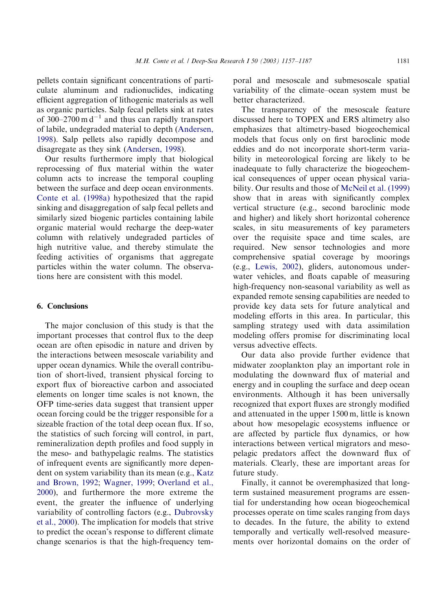M.H. Conte et al. *| Deep-Sea Research I 50 (2003) 1157-1187* 1181

pellets contain significant concentrations of particulate aluminum and radionuclides, indicating efficient aggregation of lithogenic materials as well as organic particles. Salp fecal pellets sink at rates of 300–2700 m  $d^{-1}$  and thus can rapidly transport of labile, undegraded material to depth ([Andersen,](#page-25-0) [1998\)](#page-25-0). Salp pellets also rapidly decompose and disagregate as they sink ([Andersen, 1998\)](#page-25-0).

Our results furthermore imply that biological reprocessing of flux material within the water column acts to increase the temporal coupling between the surface and deep ocean environments. [Conte et al. \(1998a\)](#page-26-0) hypothesized that the rapid sinking and disaggregation of salp fecal pellets and similarly sized biogenic particles containing labile organic material would recharge the deep-water column with relatively undegraded particles of high nutritive value, and thereby stimulate the feeding activities of organisms that aggregate particles within the water column. The observations here are consistent with this model.

# 6. Conclusions

The major conclusion of this study is that the important processes that control flux to the deep ocean are often episodic in nature and driven by the interactions between mesoscale variability and upper ocean dynamics. While the overall contribution of short-lived, transient physical forcing to export flux of bioreactive carbon and associated elements on longer time scales is not known, the OFP time-series data suggest that transient upper ocean forcing could be the trigger responsible for a sizeable fraction of the total deep ocean flux. If so, the statistics of such forcing will control, in part, remineralization depth profiles and food supply in the meso- and bathypelagic realms. The statistics of infrequent events are significantly more dependent on system variability than its mean (e.g., [Katz](#page-28-0) [and Brown, 1992;](#page-28-0) [Wagner, 1999;](#page-29-0) [Overland et al.,](#page-28-0) [2000\)](#page-28-0), and furthermore the more extreme the event, the greater the influence of underlying variability of controlling factors (e.g., [Dubrovsky](#page-27-0) [et al., 2000\)](#page-27-0). The implication for models that strive to predict the ocean's response to different climate change scenarios is that the high-frequency temporal and mesoscale and submesoscale spatial variability of the climate–ocean system must be better characterized.

The transparency of the mesoscale feature discussed here to TOPEX and ERS altimetry also emphasizes that altimetry-based biogeochemical models that focus only on first baroclinic mode eddies and do not incorporate short-term variability in meteorological forcing are likely to be inadequate to fully characterize the biogeochemical consequences of upper ocean physical variability. Our results and those of [McNeil et al. \(1999\)](#page-28-0) show that in areas with significantly complex vertical structure (e.g., second baroclinic mode and higher) and likely short horizontal coherence scales, in situ measurements of key parameters over the requisite space and time scales, are required. New sensor technologies and more comprehensive spatial coverage by moorings (e.g., [Lewis, 2002\)](#page-28-0), gliders, autonomous underwater vehicles, and floats capable of measuring high-frequency non-seasonal variability as well as expanded remote sensing capabilities are needed to provide key data sets for future analytical and modeling efforts in this area. In particular, this sampling strategy used with data assimilation modeling offers promise for discriminating local versus advective effects.

Our data also provide further evidence that midwater zooplankton play an important role in modulating the downward flux of material and energy and in coupling the surface and deep ocean environments. Although it has been universally recognized that export fluxes are strongly modified and attenuated in the upper 1500 m, little is known about how mesopelagic ecosystems influence or are affected by particle flux dynamics, or how interactions between vertical migrators and mesopelagic predators affect the downward flux of materials. Clearly, these are important areas for future study.

Finally, it cannot be overemphasized that longterm sustained measurement programs are essential for understanding how ocean biogeochemical processes operate on time scales ranging from days to decades. In the future, the ability to extend temporally and vertically well-resolved measurements over horizontal domains on the order of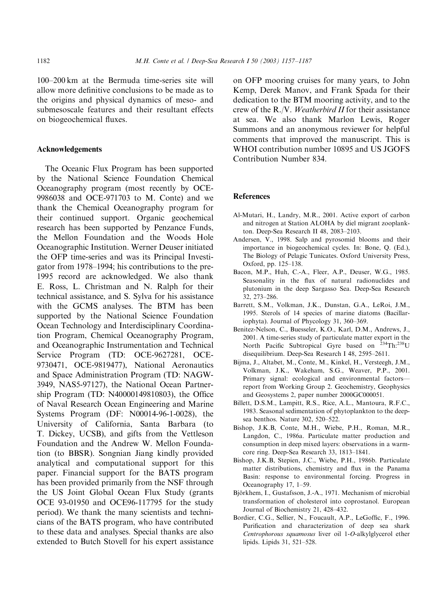<span id="page-25-0"></span>100–200 km at the Bermuda time-series site will allow more definitive conclusions to be made as to the origins and physical dynamics of meso- and submesoscale features and their resultant effects on biogeochemical fluxes.

#### Acknowledgements

The Oceanic Flux Program has been supported by the National Science Foundation Chemical Oceanography program (most recently by OCE-9986038 and OCE-971703 to M. Conte) and we thank the Chemical Oceanography program for their continued support. Organic geochemical research has been supported by Penzance Funds, the Mellon Foundation and the Woods Hole Oceanographic Institution. Werner Deuser initiated the OFP time-series and was its Principal Investigator from 1978–1994; his contributions to the pre-1995 record are acknowledged. We also thank E. Ross, L. Christman and N. Ralph for their technical assistance, and S. Sylva for his assistance with the GCMS analyses. The BTM has been supported by the National Science Foundation Ocean Technology and Interdisciplinary Coordination Program, Chemical Oceanography Program, and Oceanographic Instrumentation and Technical Service Program (TD: OCE-9627281, OCE-9730471, OCE-9819477), National Aeronautics and Space Administration Program (TD: NAGW-3949, NAS5-97127), the National Ocean Partnership Program (TD: N40000149810803), the Office of Naval Research Ocean Engineering and Marine Systems Program (DF: N00014-96-1-0028), the University of California, Santa Barbara (to T. Dickey, UCSB), and gifts from the Vettleson Foundation and the Andrew W. Mellon Foundation (to BBSR). Songnian Jiang kindly provided analytical and computational support for this paper. Financial support for the BATS program has been provided primarily from the NSF through the US Joint Global Ocean Flux Study (grants OCE 93-01950 and OCE96-117795 for the study period). We thank the many scientists and technicians of the BATS program, who have contributed to these data and analyses. Special thanks are also extended to Butch Stovell for his expert assistance

on OFP mooring cruises for many years, to John Kemp, Derek Manov, and Frank Spada for their dedication to the BTM mooring activity, and to the crew of the R./V. Weatherbird II for their assistance at sea. We also thank Marlon Lewis, Roger Summons and an anonymous reviewer for helpful comments that improved the manuscript. This is WHOI contribution number 10895 and US JGOFS Contribution Number 834.

## **References**

- Al-Mutari, H., Landry, M.R., 2001. Active export of carbon and nitrogen at Station ALOHA by diel migrant zooplankton. Deep-Sea Research II 48, 2083–2103.
- Andersen, V., 1998. Salp and pyrosomid blooms and their importance in biogeochemical cycles. In: Bone, Q. (Ed.), The Biology of Pelagic Tunicates. Oxford University Press, Oxford, pp. 125–138.
- Bacon, M.P., Huh, C.-A., Fleer, A.P., Deuser, W.G., 1985. Seasonality in the flux of natural radionuclides and plutonium in the deep Sargasso Sea. Deep-Sea Research 32, 273–286.
- Barrett, S.M., Volkman, J.K., Dunstan, G.A., LeRoi, J.M., 1995. Sterols of 14 species of marine diatoms (Bacillariophyta). Journal of Phycology 31, 360–369.
- Benitez-Nelson, C., Buesseler, K.O., Karl, D.M., Andrews, J., 2001. A time-series study of particulate matter export in the North Pacific Subtropical Gyre based on <sup>234</sup>Th:<sup>238</sup>U disequilibrium. Deep-Sea Research I 48, 2595–2611.
- Bijma, J., Altabet, M., Conte, M., Kinkel, H., Versteegh, J.M., Volkman, J.K., Wakeham, S.G., Weaver, P.P., 2001. Primary signal: ecological and environmental factors report from Working Group 2. Geochemistry, Geophysics and Geosystems 2, paper number 2000GC000051.
- Billett, D.S.M., Lampitt, R.S., Rice, A.L., Mantoura, R.F.C., 1983. Seasonal sedimentation of phytoplankton to the deepsea benthos. Nature 302, 520–522.
- Bishop, J.K.B, Conte, M.H., Wiebe, P.H., Roman, M.R., Langdon, C., 1986a. Particulate matter production and consumption in deep mixed layers: observations in a warmcore ring. Deep-Sea Research 33, 1813–1841.
- Bishop, J.K.B, Stepien, J.C., Wiebe, P.H., 1986b. Particulate matter distributions, chemistry and flux in the Panama Basin: response to environmental forcing. Progress in Oceanography 17, 1–59.
- Björkhem, I., Gustafsson, J.-A., 1971. Mechanism of microbial transformation of cholesterol into coprostanol. European Journal of Biochemistry 21, 428–432.
- Bordier, C.G., Sellier, N., Foucault, A.P., LeGoffic, F., 1996. Purification and characterization of deep sea shark Centrophorous squamosus liver oil 1-O-alkylglycerol ether lipids. Lipids 31, 521–528.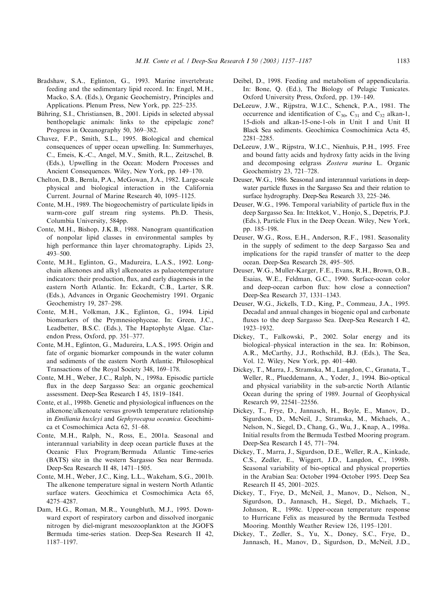- <span id="page-26-0"></span>Bradshaw, S.A., Eglinton, G., 1993. Marine invertebrate feeding and the sedimentary lipid record. In: Engel, M.H., Macko, S.A. (Eds.), Organic Geochemistry, Principles and Applications. Plenum Press, New York, pp. 225–235.
- Bühring, S.I., Christiansen, B., 2001. Lipids in selected abyssal benthopelagic animals: links to the epipelagic zone? Progress in Oceanography 50, 369–382.
- Chavez, F.P., Smith, S.L., 1995. Biological and chemical consequences of upper ocean upwelling. In: Summerhayes, C., Emeis, K.-C., Angel, M.V., Smith, R.L., Zeitzschel, B. (Eds.), Upwelling in the Ocean: Modern Processes and Ancient Consequences. Wiley, New York, pp. 149–170.
- Chelton, D.B., Bernla, P.A., McGowan, J.A., 1982. Large-scale physical and biological interaction in the California Current. Journal of Marine Research 40, 1095–1125.
- Conte, M.H., 1989. The biogeochemistry of particulate lipids in warm-core gulf stream ring systems. Ph.D. Thesis, Columbia University, 584pp.
- Conte, M.H., Bishop, J.K.B., 1988. Nanogram quantification of nonpolar lipid classes in environmental samples by high performance thin layer chromatography. Lipids 23, 493–500.
- Conte, M.H., Eglinton, G., Madureira, L.A.S., 1992. Longchain alkenones and alkyl alkenoates as palaeotemperature indicators: their production, flux, and early diagenesis in the eastern North Atlantic. In: Eckardt, C.B., Larter, S.R. (Eds.), Advances in Organic Geochemistry 1991. Organic Geochemistry 19, 287–298.
- Conte, M.H., Volkman, J.K., Eglinton, G., 1994. Lipid biomarkers of the Prymnesiophyceae. In: Green, J.C., Leadbetter, B.S.C. (Eds.), The Haptophyte Algae. Clarendon Press, Oxford, pp. 351–377.
- Conte, M.H., Eglinton, G., Madureira, L.A.S., 1995. Origin and fate of organic biomarker compounds in the water column and sediments of the eastern North Atlantic. Philosophical Transactions of the Royal Society 348, 169–178.
- Conte, M.H., Weber, J.C., Ralph, N., 1998a. Episodic particle flux in the deep Sargasso Sea: an organic geochemical assessment. Deep-Sea Research I 45, 1819–1841.
- Conte, et al., 1998b. Genetic and physiological influences on the alkenone/alkenoate versus growth temperature relationship in Emiliania huxleyi and Gephyrocapsa oceanica. Geochimica et Cosmochimica Acta 62, 51–68.
- Conte, M.H., Ralph, N., Ross, E., 2001a. Seasonal and interannual variability in deep ocean particle fluxes at the Oceanic Flux Program/Bermuda Atlantic Time-series (BATS) site in the western Sargasso Sea near Bermuda. Deep-Sea Research II 48, 1471–1505.
- Conte, M.H., Weber, J.C., King, L.L., Wakeham, S.G., 2001b. The alkenone temperature signal in western North Atlantic surface waters. Geochimica et Cosmochimica Acta 65, 4275–4287.
- Dam, H.G., Roman, M.R., Youngbluth, M.J., 1995. Downward export of respiratory carbon and dissolved inorganic nitrogen by diel-migrant mesozooplankton at the JGOFS Bermuda time-series station. Deep-Sea Research II 42, 1187–1197.
- Deibel, D., 1998. Feeding and metabolism of appendicularia. In: Bone, Q. (Ed.), The Biology of Pelagic Tunicates. Oxford University Press, Oxford, pp. 139–149.
- DeLeeuw, J.W., Rijpstra, W.I.C., Schenck, P.A., 1981. The occurrence and identification of  $C_{30}$ ,  $C_{31}$  and  $C_{32}$  alkan-1, 15-diols and alkan-15-one-1-ols in Unit I and Unit II Black Sea sediments. Geochimica Cosmochimica Acta 45, 2281–2285.
- DeLeeuw, J.W., Rijpstra, W.I.C., Nienhuis, P.H., 1995. Free and bound fatty acids and hydroxy fatty acids in the living and decomposing eelgrass Zostera marina L. Organic Geochemistry 23, 721–728.
- Deuser, W.G., 1986. Seasonal and interannual variations in deepwater particle fluxes in the Sargasso Sea and their relation to surface hydrography. Deep-Sea Research 33, 225–246.
- Deuser, W.G., 1996. Temporal variability of particle flux in the deep Sargasso Sea. In: Ittekkot, V., Honjo, S., Depetris, P.J. (Eds.), Particle Flux in the Deep Ocean. Wiley, New York, pp. 185–198.
- Deuser, W.G., Ross, E.H., Anderson, R.F., 1981. Seasonality in the supply of sediment to the deep Sargasso Sea and implications for the rapid transfer of matter to the deep ocean. Deep-Sea Research 28, 495–505.
- Deuser, W.G., Muller-Karger, F.E., Evans, R.H., Brown, O.B., Esaias, W.E., Feldman, G.C., 1990. Surface-ocean color and deep-ocean carbon flux: how close a connection? Deep-Sea Research 37, 1331–1343.
- Deuser, W.G., Jickells, T.D., King, P., Commeau, J.A., 1995. Decadal and annual changes in biogenic opal and carbonate fluxes to the deep Sargasso Sea. Deep-Sea Research I 42, 1923–1932.
- Dickey, T., Falkowski, P., 2002. Solar energy and its biological–physical interaction in the sea. In: Robinson, A.R., McCarthy, J.J., Rothschild, B.J. (Eds.), The Sea, Vol. 12. Wiley, New York, pp. 401–440.
- Dickey, T., Marra, J., Stramska, M., Langdon, C., Granata, T., Weller, R., Plueddemann, A., Yoder, J., 1994. Bio-optical and physical variability in the sub-arctic North Atlantic Ocean during the spring of 1989. Journal of Geophysical Research 99, 22541–22556.
- Dickey, T., Frye, D., Jannasch, H., Boyle, E., Manov, D., Sigurdson, D., McNeil, J., Stramska, M., Michaels, A., Nelson, N., Siegel, D., Chang, G., Wu, J., Knap, A., 1998a. Initial results from the Bermuda Testbed Mooring program. Deep-Sea Research I 45, 771–794.
- Dickey, T., Marra, J., Sigurdson, D.E., Weller, R.A., Kinkade, C.S., Zedler, E., Wiggert, J.D., Langdon, C., 1998b. Seasonal variability of bio-optical and physical properties in the Arabian Sea: October 1994–October 1995. Deep Sea Research II 45, 2001–2025.
- Dickey, T., Frye, D., McNeil, J., Manov, D., Nelson, N., Sigurdson, D., Jannasch, H., Siegel, D., Michaels, T., Johnson, R., 1998c. Upper-ocean temperature response to Hurricane Felix as measured by the Bermuda Testbed Mooring. Monthly Weather Review 126, 1195–1201.
- Dickey, T., Zedler, S., Yu, X., Doney, S.C., Frye, D., Jannasch, H., Manov, D., Sigurdson, D., McNeil, J.D.,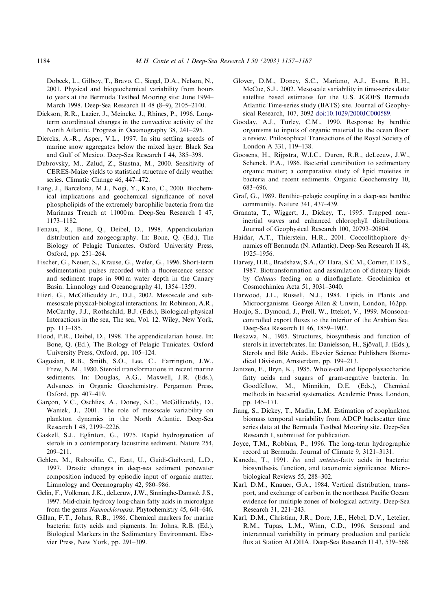<span id="page-27-0"></span>Dobeck, L., Gilboy, T., Bravo, C., Siegel, D.A., Nelson, N., 2001. Physical and biogeochemical variability from hours to years at the Bermuda Testbed Mooring site: June 1994– March 1998. Deep-Sea Research II 48 (8–9), 2105–2140.

- Dickson, R.R., Lazier, J., Meincke, J., Rhines, P., 1996. Longterm coordinated changes in the convective activity of the North Atlantic. Progress in Oceanography 38, 241–295.
- Diercks, A.-R., Asper, V.L., 1997. In situ settling speeds of marine snow aggregates below the mixed layer: Black Sea and Gulf of Mexico. Deep-Sea Research I 44, 385–398.
- Dubrovsky, M., Zalud, Z., Stastna, M., 2000. Sensitivity of CERES-Maize yields to statistical structure of daily weather series. Climatic Change 46, 447–472.
- Fang, J., Barcelona, M.J., Nogi, Y., Kato, C., 2000. Biochemical implications and geochemical significance of novel phospholipids of the extremely barophilic bacteria from the Marianas Trench at 11000 m. Deep-Sea Research I 47, 1173–1182.
- Fenaux, R., Bone, Q., Deibel, D., 1998. Appendicularian distribution and zoogeography. In: Bone, Q. (Ed.), The Biology of Pelagic Tunicates. Oxford University Press, Oxford, pp. 251–264.
- Fischer, G., Neuer, S., Krause, G., Wefer, G., 1996. Short-term sedimentation pulses recorded with a fluorescence sensor and sediment traps in 900 m water depth in the Canary Basin. Limnology and Oceanography 41, 1354–1359.
- Flierl, G., McGillicuddy Jr., D.J., 2002. Mesoscale and submesoscale physical-biological interactions. In: Robinson, A.R., McCarthy, J.J., Rothschild, B.J. (Eds.), Biological-physical Interactions in the sea, The sea, Vol. 12. Wiley, New York, pp. 113–185.
- Flood, P.R., Deibel, D., 1998. The appendicularian house. In: Bone, Q. (Ed.), The Biology of Pelagic Tunicates. Oxford University Press, Oxford, pp. 105–124.
- Gagosian, R.B., Smith, S.O., Lee, C., Farrington, J.W., Frew, N.M., 1980. Steroid transformations in recent marine sediments. In: Douglas, A.G., Maxwell, J.R. (Eds.), Advances in Organic Geochemistry. Pergamon Press, Oxford, pp. 407–419.
- Garçon, V.C., Oschlies, A., Doney, S.C., McGillicuddy, D., Waniek, J., 2001. The role of mesoscale variability on plankton dynamics in the North Atlantic. Deep-Sea Research I 48, 2199–2226.
- Gaskell, S.J., Eglinton, G., 1975. Rapid hydrogenation of sterols in a contemporary lacustrine sediment. Nature 254, 209–211.
- Gehlen, M., Rabouille, C., Ezat, U., Guidi-Guilvard, L.D., 1997. Drastic changes in deep-sea sediment porewater composition induced by episodic input of organic matter. Limnology and Oceanography 42, 980–986.
- Gelin, F., Volkman, J.K., deLeeuw, J.W., Sinninghe-Damsté, J.S., 1997. Mid-chain hydroxy long-chain fatty acids in microalgae from the genus Nannochloropsis. Phytochemistry 45, 641–646.
- Gillan, F.T., Johns, R.B., 1986. Chemical markers for marine bacteria: fatty acids and pigments. In: Johns, R.B. (Ed.), Biological Markers in the Sedimentary Environment. Elsevier Press, New York, pp. 291–309.
- Glover, D.M., Doney, S.C., Mariano, A.J., Evans, R.H., McCue, S.J., 2002. Mesoscale variability in time-series data: satellite based estimates for the U.S. JGOFS Bermuda Atlantic Time-series study (BATS) site. Journal of Geophysical Research, 107, 3092 doi:10.1029/2000JC000589.
- Gooday, A.J., Turley, C.M., 1990. Response by benthic organisms to inputs of organic material to the ocean floor: a review. Philosophical Transactions of the Royal Society of London A 331, 119–138.
- Goosens, H., Rijpstra, W.I.C., Duren, R.R., deLeeuw, J.W., Schenck, P.A., 1986. Bacterial contribution to sedimentary organic matter; a comparative study of lipid moieties in bacteria and recent sediments. Organic Geochemistry 10, 683–696.
- Graf, G., 1989. Benthic–pelagic coupling in a deep-sea benthic community. Nature 341, 437–439.
- Granata, T., Wiggert, J., Dickey, T., 1995. Trapped nearinertial waves and enhanced chlorophyll distributions. Journal of Geophysical Research 100, 20793–20804.
- Haidar, A.T., Thierstein, H.R., 2001. Coccolithophore dynamics off Bermuda (N. Atlantic). Deep-Sea Research II 48, 1925–1956.
- Harvey, H.R., Bradshaw, S.A., O' Hara, S.C.M., Corner, E.D.S., 1987. Biotransformation and assimilation of dieteary lipids by Calanus feeding on a dinoflagellate. Geochimica et Cosmochimica Acta 51, 3031–3040.
- Harwood, J.L., Russell, N.J., 1984. Lipids in Plants and Microorganisms. George Allen & Unwin, London, 162pp.
- Honjo, S., Dymond, J., Prell, W., Ittekot, V., 1999. Monsooncontrolled export fluxes to the interior of the Arabian Sea. Deep-Sea Research II 46, 1859–1902.
- Ikekawa, N., 1985. Structures, biosynthesis and function of sterols in invertebrates. In: Danielsson, H., Sjovall, J. (Eds.), . Sterols and Bile Acids. Elsevier Science Publishers Biomedical Division, Amsterdam, pp. 199–213.
- Jantzen, E., Bryn, K., 1985. Whole-cell and lipopolysaccharide fatty acids and sugars of gram-negative bacteria. In: Goodfellow, M., Minnikin, D.E. (Eds.), Chemical methods in bacterial systematics. Academic Press, London, pp. 145–171.
- Jiang, S., Dickey, T., Madin, L.M. Estimation of zooplankton biomass temporal variability from ADCP backscatter time series data at the Bermuda Testbed Mooring site. Deep-Sea Research I, submitted for publication.
- Joyce, T.M., Robbins, P., 1996. The long-term hydrographic record at Bermuda. Journal of Climate 9, 3121–3131.
- Kaneda, T., 1991. Iso and anteiso-fatty acids in bacteria: biosynthesis, function, and taxonomic significance. Microbiological Reviews 55, 288–302.
- Karl, D.M., Knauer, G.A., 1984. Vertical distribution, transport, and exchange of carbon in the northeast Pacific Ocean: evidence for multiple zones of biological activity. Deep-Sea Research 31, 221–243.
- Karl, D.M., Christian, J.R., Dore, J.E., Hebel, D.V., Letelier, R.M., Tupas, L.M., Winn, C.D., 1996. Seasonal and interannual variability in primary production and particle flux at Station ALOHA. Deep-Sea Research II 43, 539–568.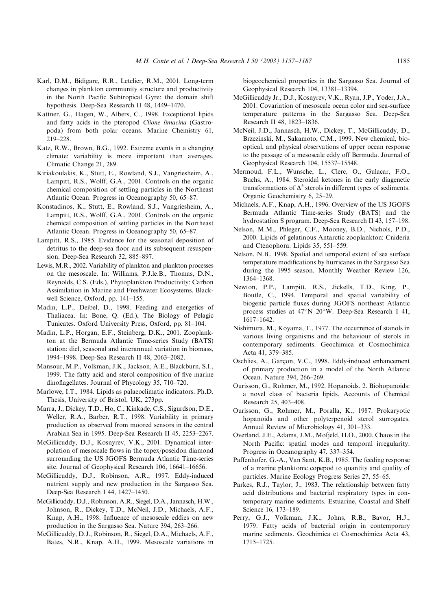- <span id="page-28-0"></span>Karl, D.M., Bidigare, R.R., Letelier, R.M., 2001. Long-term changes in plankton community structure and productivity in the North Pacific Subtropical Gyre: the domain shift hypothesis. Deep-Sea Research II 48, 1449–1470.
- Kattner, G., Hagen, W., Albers, C., 1998. Exceptional lipids and fatty acids in the pteropod Clione limacina (Gastropoda) from both polar oceans. Marine Chemistry 61, 219–228.
- Katz, R.W., Brown, B.G., 1992. Extreme events in a changing climate: variability is more important than averages. Climatic Change 21, 289.
- Kiriakoulakis, K., Stutt, E., Rowland, S.J., Vangriesheim, A., Lampitt, R.S., Wolff, G.A., 2001. Controls on the organic chemical composition of settling particles in the Northeast Atlantic Ocean. Progress in Oceanography 50, 65–87.
- Konstadinos, K., Stutt, E., Rowland, S.J., Vangriesheim, A., Lampitt, R.S., Wolff, G.A., 2001. Controls on the organic chemical composition of settling particles in the Northeast Atlantic Ocean. Progress in Oceanography 50, 65–87.
- Lampitt, R.S., 1985. Evidence for the seasonal deposition of detritus to the deep-sea floor and its subsequent resuspension. Deep-Sea Research 32, 885–897.
- Lewis, M.R., 2002. Variability of plankton and plankton processes on the mesoscale. In: Williams, P.J.le.B., Thomas, D.N., Reynolds, C.S. (Eds.), Phytoplankton Productivity: Carbon Assimilation in Marine and Freshwater Ecosystems. Blackwell Science, Oxford, pp. 141–155.
- Madin, L.P., Deibel, D., 1998. Feeding and energetics of Thaliacea. In: Bone, Q. (Ed.), The Biology of Pelagic Tunicates. Oxford University Press, Oxford, pp. 81–104.
- Madin, L.P., Horgan, E.F., Steinberg, D.K., 2001. Zooplankton at the Bermuda Atlantic Time-series Study (BATS) station: diel, seasonal and interannual variation in biomass, 1994–1998. Deep-Sea Research II 48, 2063–2082.
- Mansour, M.P., Volkman, J.K., Jackson, A.E., Blackburn, S.I., 1999. The fatty acid and sterol composition of five marine dinoflagellates. Journal of Phycology 35, 710–720.
- Marlowe, I.T., 1984. Lipids as palaeoclimatic indicators. Ph.D. Thesis, University of Bristol, UK, 273pp.
- Marra, J., Dickey, T.D., Ho, C., Kinkade, C.S., Sigurdson, D.E., Weller, R.A., Barber, R.T., 1998. Variability in primary production as observed from moored sensors in the central Arabian Sea in 1995. Deep-Sea Research II 45, 2253–2267.
- McGillicuddy, D.J., Kosnyrev, V.K., 2001. Dynamical interpolation of mesoscale flows in the topex/poseidon diamond surrounding the US JGOFS Bermuda Atlantic Time-series site. Journal of Geophysical Research 106, 16641–16656.
- McGillicuddy, D.J., Robinson, A.R., 1997. Eddy-induced nutrient supply and new production in the Sargasso Sea. Deep-Sea Research I 44, 1427–1450.
- McGillicuddy, D.J., Robinson, A.R., Siegel, D.A., Jannasch, H.W., Johnson, R., Dickey, T.D., McNeil, J.D., Michaels, A.F., Knap, A.H., 1998. Influence of mesoscale eddies on new production in the Sargasso Sea. Nature 394, 263–266.
- McGillicuddy, D.J., Robinson, R., Siegel, D.A., Michaels, A.F., Bates, N.R., Knap, A.H., 1999. Mesoscale variations in

biogeochemical properties in the Sargasso Sea. Journal of Geophysical Research 104, 13381–13394.

- McGillicuddy Jr., D.J., Kosnyrev, V.K., Ryan, J.P., Yoder, J.A., 2001. Covariation of mesoscale ocean color and sea-surface temperature patterns in the Sargasso Sea. Deep-Sea Research II 48, 1823–1836.
- McNeil, J.D., Jannasch, H.W., Dickey, T., McGillicuddy, D., Brzezinski, M., Sakamoto, C.M., 1999. New chemical, biooptical, and physical observations of upper ocean response to the passage of a mesoscale eddy off Bermuda. Journal of Geophysical Research 104, 15537–15548.
- Mermoud, F.L., Wunsche, L., Clerc, O., Gulacar, F.O., Buchs, A., 1984. Steroidal ketones in the early diagenetic transformations of  $\Delta^5$  sterols in different types of sediments. Organic Geochemistry 6, 25–29.
- Michaels, A.F., Knap, A.H., 1996. Overview of the US JGOFS Bermuda Atlantic Time-series Study (BATS) and the hydrostation S program. Deep-Sea Research II 43, 157–198.
- Nelson, M.M., Phleger, C.F., Mooney, B.D., Nichols, P.D., 2000. Lipids of gelatinous Antarctic zooplankton: Cnideria and Ctenophora. Lipids 35, 551–559.
- Nelson, N.B., 1998. Spatial and temporal extent of sea surface temperature modifications by hurricanes in the Sargasso Sea during the 1995 season. Monthly Weather Review 126, 1364–1368.
- Newton, P.P., Lampitt, R.S., Jickells, T.D., King, P., Boutle, C., 1994. Temporal and spatial variability of biogenic particle fluxes during JGOFS northeast Atlantic process studies at  $47^{\circ}$ N 20°W. Deep-Sea Research I 41, 1617–1642.
- Nishimura, M., Koyama, T., 1977. The occurrence of stanols in various living organisms and the behaviour of sterols in contemporary sediments. Geochimica et Cosmochimica Acta 41, 379–385.
- Oschlies, A., Garçon, V.C., 1998. Eddy-induced enhancement of primary production in a model of the North Atlantic Ocean. Nature 394, 266–269.
- Ourisson, G., Rohmer, M., 1992. Hopanoids. 2. Biohopanoids: a novel class of bacteria lipids. Accounts of Chemical Research 25, 403–408.
- Ourisson, G., Rohmer, M., Poralla, K., 1987. Prokaryotic hopanoids and other polyterpenoid sterol surrogates. Annual Review of Microbiology 41, 301–333.
- Overland, J.E., Adams, J.M., Mofjeld, H.O., 2000. Chaos in the North Pacific: spatial modes and temporal irregularity. Progress in Oceanography 47, 337–354.
- Paffenhofer, G.-A., Van Sant, K.B., 1985. The feeding response of a marine planktonic copepod to quantity and quality of particles. Marine Ecology Progress Series 27, 55–65.
- Parkes, R.J., Taylor, J., 1983. The relationship between fatty acid distributions and bacterial respiratory types in contemporary marine sediments. Estuarine, Coastal and Shelf Science 16, 173–189.
- Perry, G.J., Volkman, J.K., Johns, R.B., Bavor, H.J., 1979. Fatty acids of bacterial origin in contemporary marine sediments. Geochimica et Cosmochimica Acta 43, 1715–1725.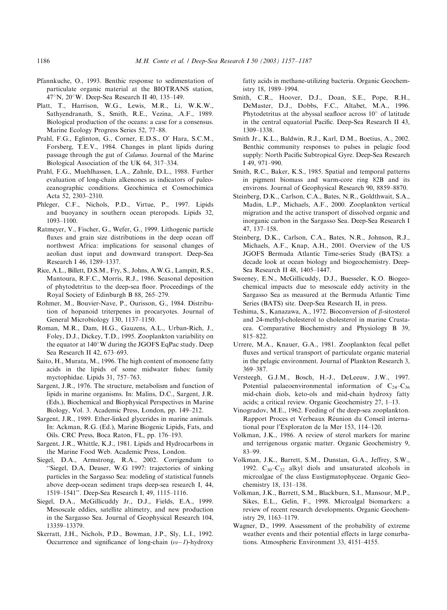- <span id="page-29-0"></span>Pfannkuche, O., 1993. Benthic response to sedimentation of particulate organic material at the BIOTRANS station, 47°N, 20°W. Deep-Sea Research II 40, 135-149.
- Platt, T., Harrison, W.G., Lewis, M.R., Li, W.K.W., Sathyendranath, S., Smith, R.E., Vezina, .A.F., 1989. Biological production of the oceans: a case for a consensus. Marine Ecology Progress Series 52, 77–88.
- Prahl, F.G., Eglinton, G., Corner, E.D.S., O' Hara, S.C.M., Forsberg, T.E.V., 1984. Changes in plant lipids during passage through the gut of Calanus. Journal of the Marine Biological Association of the UK 64, 317–334.
- Prahl, F.G., Muehlhassen, L.A., Zahnle, D.L., 1988. Further evaluation of long-chain alkenones as indicators of paleoceanographic conditions. Geochimica et Cosmochimica Acta 52, 2303–2310.
- Phleger, C.F., Nichols, P.D., Virtue, P., 1997. Lipids and buoyancy in southern ocean pteropods. Lipids 32, 1093–1100.
- Ratmeyer, V., Fischer, G., Wefer, G., 1999. Lithogenic particle fluxes and grain size distributions in the deep ocean off northwest Africa: implications for seasonal changes of aeolian dust input and downward transport. Deep-Sea Research I 46, 1289–1337.
- Rice, A.L., Billett, D.S.M., Fry, S., Johns, A.W.G., Lampitt, R.S., Mantoura, R.F.C., Morris, R.J., 1986. Seasonal deposition of phytodetritus to the deep-sea floor. Proceedings of the Royal Society of Edinburgh B 88, 265–279.
- Rohmer, M., Bouvier-Nave, P., Ourisson, G., 1984. Distribution of hopanoid triterpenes in procaryotes. Journal of General Microbiology 130, 1137–1150.
- Roman, M.R., Dam, H.G., Gauzens, A.L., Urban-Rich, J., Foley, D.J., Dickey, T.D., 1995. Zooplankton variability on the equator at 140°W during the JGOFS EqPac study. Deep Sea Research II 42, 673–693.
- Saito, H., Murata, M., 1996. The high content of monoene fatty acids in the lipids of some midwater fishes: family myctophidae. Lipids 31, 757–763.
- Sargent, J.R., 1976. The structure, metabolism and function of lipids in marine organisms. In: Malins, D.C., Sargent, J.R. (Eds.), Biochemical and Biophysical Perspectives in Marine Biology, Vol. 3. Academic Press, London, pp. 149–212.
- Sargent, J.R., 1989. Ether-linked glycerides in marine animals. In: Ackman, R.G. (Ed.), Marine Biogenic Lipids, Fats, and Oils. CRC Press, Boca Raton, FL, pp. 176–193.
- Sargent, J.R., Whittle, K.J., 1981. Lipids and Hydrocarbons in the Marine Food Web. Academic Press, London.
- Siegel, D.A., Armstrong, R.A., 2002. Corrigendum to ''Siegel, D.A, Deuser, W.G 1997: trajectories of sinking particles in the Sargasso Sea: modeling of statistical funnels above deep-ocean sediment traps deep-sea research I, 44, 1519–1541''. Deep-Sea Research I, 49, 1115–1116.
- Siegel, D.A., McGillicuddy Jr., D.J., Fields, E.A., 1999. Mesoscale eddies, satellite altimetry, and new production in the Sargasso Sea. Journal of Geophysical Research 104, 13359–13379.
- Skerratt, J.H., Nichols, P.D., Bowman, J.P., Sly, L.I., 1992. Occurrence and significance of long-chain  $(\omega - 1)$ -hydroxy

fatty acids in methane-utilizing bacteria. Organic Geochemistry 18, 1989–1994.

- Smith, C.R., Hoover, D.J., Doan, S.E., Pope, R.H., DeMaster, D.J., Dobbs, F.C., Altabet, M.A., 1996. Phytodetritus at the abyssal seafloor across  $10^{\circ}$  of latitude in the central equatorial Pacific. Deep-Sea Research II 43, 1309–1338.
- Smith Jr., K.L., Baldwin, R.J., Karl, D.M., Boetius, A., 2002. Benthic community responses to pulses in pelagic food supply: North Pacific Subtropical Gyre. Deep-Sea Research I 49, 971–990.
- Smith, R.C., Baker, K.S., 1985. Spatial and temporal patterns in pigment biomass and warm-core ring 82B and its environs. Journal of Geophysical Research 90, 8859–8870.
- Steinberg, D.K., Carlson, C.A., Bates, N.R., Goldthwait, S.A., Madin, L.P., Michaels, A.F., 2000. Zooplankton vertical migration and the active transport of dissolved organic and inorganic carbon in the Sargasso Sea. Deep-Sea Research I 47, 137–158.
- Steinberg, D.K., Carlson, C.A., Bates, N.R., Johnson, R.J., Michaels, A.F., Knap, A.H., 2001. Overview of the US JGOFS Bermuda Atlantic Time-series Study (BATS): a decade look at ocean biology and biogeochemistry. Deep-Sea Research II 48, 1405–1447.
- Sweeney, E.N., McGillicuddy, D.J., Buesseler, K.O. Biogeochemical impacts due to mesoscale eddy activity in the Sargasso Sea as measured at the Bermuda Atlantic Time Series (BATS) site. Deep-Sea Research II, in press.
- Teshima, S., Kanazawa, A., 1972. Bioconversion of *B*-sitosterol and 24-methyl-cholesterol to cholesterol in marine Crustacea. Comparative Biochemistry and Physiology B 39, 815–822.
- Urrere, M.A., Knauer, G.A., 1981. Zooplankton fecal pellet fluxes and vertical transport of particulate organic material in the pelagic environment. Journal of Plankton Research 3, 369–387.
- Versteegh, G.J.M., Bosch, H.-J., DeLeeuw, J.W., 1997. Potential palaeoenvironmental information of  $C_{24}-C_{36}$ mid-chain diols, keto-ols and mid-chain hydroxy fatty acids; a critical review. Organic Geochemistry 27, 1–13.
- Vinogradov, M.E., 1962. Feeding of the deep-sea zooplankton. Rapport Proces et Verbeaux Réunion du Conseil international pour l'Exploraton de la Mer 153, 114–120.
- Volkman, J.K., 1986. A review of sterol markers for marine and terrigenous organic matter. Organic Geochemistry 9, 83–99.
- Volkman, J.K., Barrett, S.M., Dunstan, G.A., Jeffrey, S.W., 1992.  $C_{30}-C_{32}$  alkyl diols and unsaturated alcohols in microalgae of the class Eustigmatophyceae. Organic Geochemistry 18, 131–138.
- Volkman, J.K., Barrett, S.M., Blackburn, S.I., Mansour, M.P., Sikes, E.L., Gelin, F., 1998. Microalgal biomarkers: a review of recent research developments. Organic Geochemistry 29, 1163–1179.
- Wagner, D., 1999. Assessment of the probability of extreme weather events and their potential effects in large conurbations. Atmospheric Environment 33, 4151–4155.